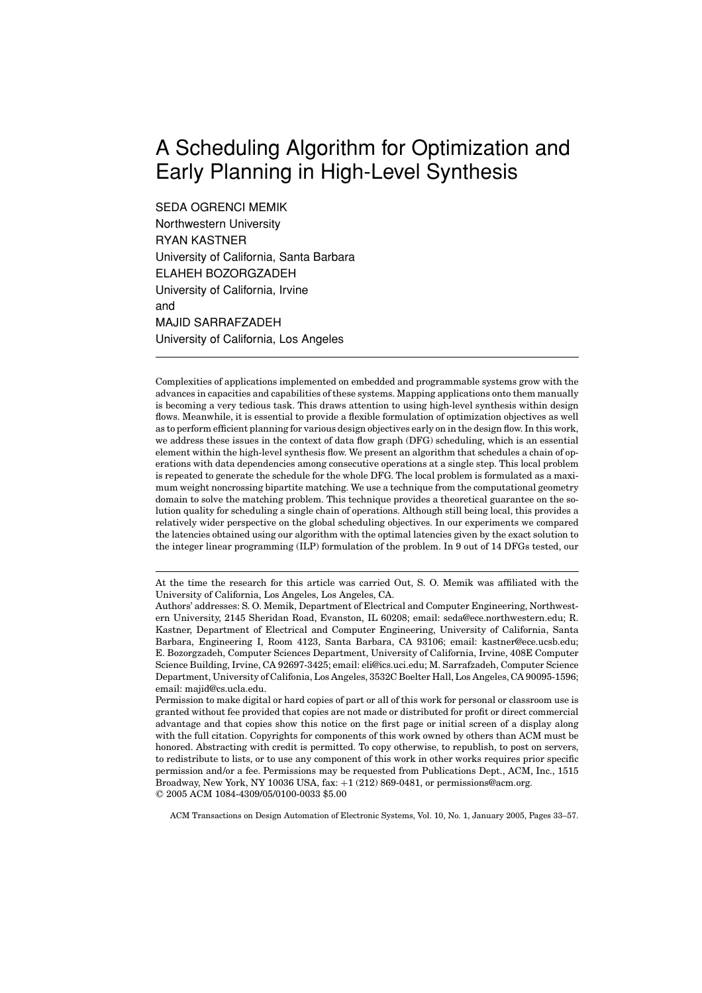# A Scheduling Algorithm for Optimization and Early Planning in High-Level Synthesis

SEDA OGRENCI MEMIK

Northwestern University RYAN KASTNER University of California, Santa Barbara ELAHEH BOZORGZADEH University of California, Irvine and MAJID SARRAFZADEH University of California, Los Angeles

Complexities of applications implemented on embedded and programmable systems grow with the advances in capacities and capabilities of these systems. Mapping applications onto them manually is becoming a very tedious task. This draws attention to using high-level synthesis within design flows. Meanwhile, it is essential to provide a flexible formulation of optimization objectives as well as to perform efficient planning for various design objectives early on in the design flow. In this work, we address these issues in the context of data flow graph (DFG) scheduling, which is an essential element within the high-level synthesis flow. We present an algorithm that schedules a chain of operations with data dependencies among consecutive operations at a single step. This local problem is repeated to generate the schedule for the whole DFG. The local problem is formulated as a maximum weight noncrossing bipartite matching. We use a technique from the computational geometry domain to solve the matching problem. This technique provides a theoretical guarantee on the solution quality for scheduling a single chain of operations. Although still being local, this provides a relatively wider perspective on the global scheduling objectives. In our experiments we compared the latencies obtained using our algorithm with the optimal latencies given by the exact solution to the integer linear programming (ILP) formulation of the problem. In 9 out of 14 DFGs tested, our

Permission to make digital or hard copies of part or all of this work for personal or classroom use is granted without fee provided that copies are not made or distributed for profit or direct commercial advantage and that copies show this notice on the first page or initial screen of a display along with the full citation. Copyrights for components of this work owned by others than ACM must be honored. Abstracting with credit is permitted. To copy otherwise, to republish, to post on servers, to redistribute to lists, or to use any component of this work in other works requires prior specific permission and/or a fee. Permissions may be requested from Publications Dept., ACM, Inc., 1515 Broadway, New York, NY 10036 USA,  $\text{fax:} +1$  (212) 869-0481, or permissions@acm.org. <sup>C</sup> 2005 ACM 1084-4309/05/0100-0033 \$5.00

At the time the research for this article was carried Out, S. O. Memik was affiliated with the University of California, Los Angeles, Los Angeles, CA.

Authors' addresses: S. O. Memik, Department of Electrical and Computer Engineering, Northwestern University, 2145 Sheridan Road, Evanston, IL 60208; email: seda@ece.northwestern.edu; R. Kastner, Department of Electrical and Computer Engineering, University of California, Santa Barbara, Engineering I, Room 4123, Santa Barbara, CA 93106; email: kastner@ece.ucsb.edu; E. Bozorgzadeh, Computer Sciences Department, University of California, Irvine, 408E Computer Science Building, Irvine, CA 92697-3425; email: eli@ics.uci.edu; M. Sarrafzadeh, Computer Science Department, University of Califonia, Los Angeles, 3532C Boelter Hall, Los Angeles, CA 90095-1596; email: majid@cs.ucla.edu.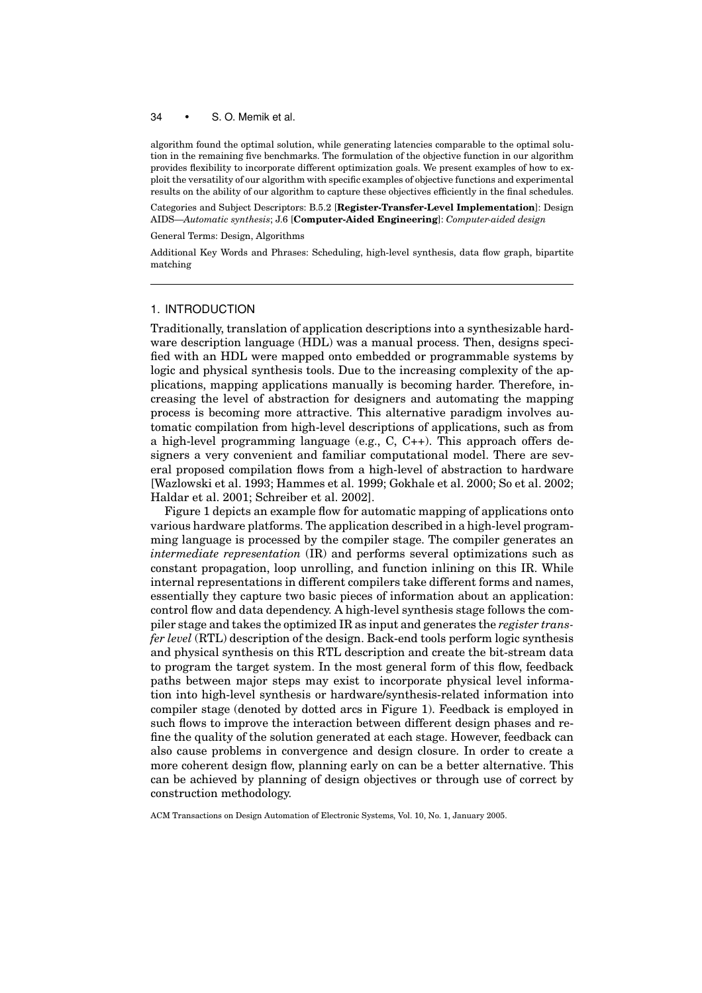algorithm found the optimal solution, while generating latencies comparable to the optimal solution in the remaining five benchmarks. The formulation of the objective function in our algorithm provides flexibility to incorporate different optimization goals. We present examples of how to exploit the versatility of our algorithm with specific examples of objective functions and experimental results on the ability of our algorithm to capture these objectives efficiently in the final schedules.

Categories and Subject Descriptors: B.5.2 [**Register-Transfer-Level Implementation**]: Design AIDS—*Automatic synthesis*; J.6 [**Computer-Aided Engineering**]: *Computer-aided design*

General Terms: Design, Algorithms

Additional Key Words and Phrases: Scheduling, high-level synthesis, data flow graph, bipartite matching

## 1. INTRODUCTION

Traditionally, translation of application descriptions into a synthesizable hardware description language (HDL) was a manual process. Then, designs specified with an HDL were mapped onto embedded or programmable systems by logic and physical synthesis tools. Due to the increasing complexity of the applications, mapping applications manually is becoming harder. Therefore, increasing the level of abstraction for designers and automating the mapping process is becoming more attractive. This alternative paradigm involves automatic compilation from high-level descriptions of applications, such as from a high-level programming language (e.g., C, C++). This approach offers designers a very convenient and familiar computational model. There are several proposed compilation flows from a high-level of abstraction to hardware [Wazlowski et al. 1993; Hammes et al. 1999; Gokhale et al. 2000; So et al. 2002; Haldar et al. 2001; Schreiber et al. 2002].

Figure 1 depicts an example flow for automatic mapping of applications onto various hardware platforms. The application described in a high-level programming language is processed by the compiler stage. The compiler generates an *intermediate representation* (IR) and performs several optimizations such as constant propagation, loop unrolling, and function inlining on this IR. While internal representations in different compilers take different forms and names, essentially they capture two basic pieces of information about an application: control flow and data dependency. A high-level synthesis stage follows the compiler stage and takes the optimized IR as input and generates the *register transfer level* (RTL) description of the design. Back-end tools perform logic synthesis and physical synthesis on this RTL description and create the bit-stream data to program the target system. In the most general form of this flow, feedback paths between major steps may exist to incorporate physical level information into high-level synthesis or hardware/synthesis-related information into compiler stage (denoted by dotted arcs in Figure 1). Feedback is employed in such flows to improve the interaction between different design phases and refine the quality of the solution generated at each stage. However, feedback can also cause problems in convergence and design closure. In order to create a more coherent design flow, planning early on can be a better alternative. This can be achieved by planning of design objectives or through use of correct by construction methodology.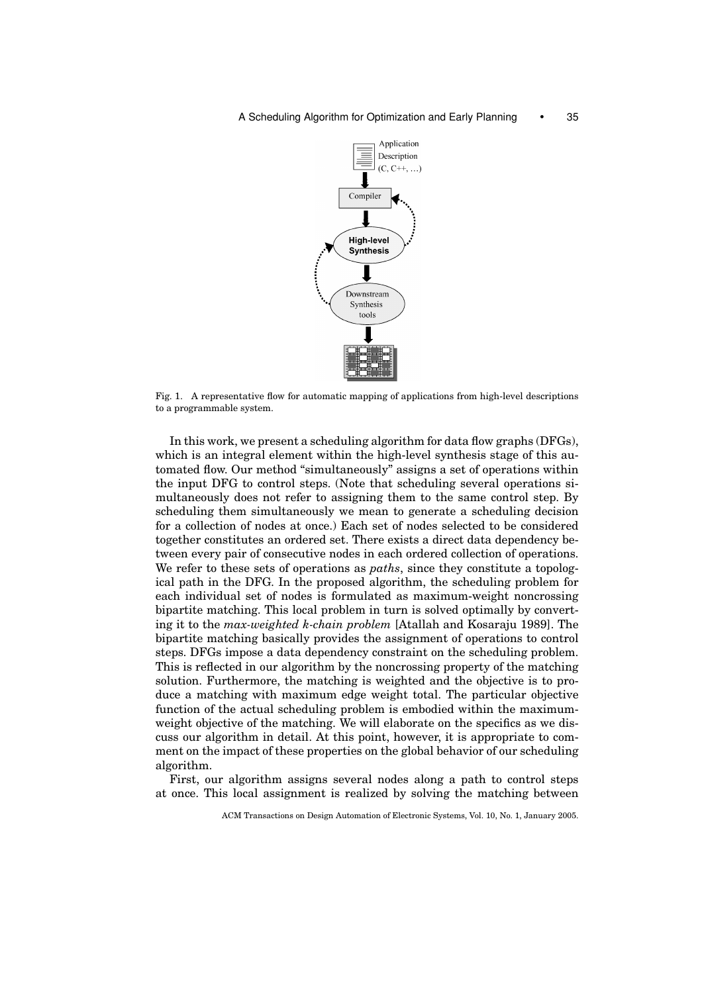

Fig. 1. A representative flow for automatic mapping of applications from high-level descriptions to a programmable system.

In this work, we present a scheduling algorithm for data flow graphs (DFGs), which is an integral element within the high-level synthesis stage of this automated flow. Our method "simultaneously" assigns a set of operations within the input DFG to control steps. (Note that scheduling several operations simultaneously does not refer to assigning them to the same control step. By scheduling them simultaneously we mean to generate a scheduling decision for a collection of nodes at once.) Each set of nodes selected to be considered together constitutes an ordered set. There exists a direct data dependency between every pair of consecutive nodes in each ordered collection of operations. We refer to these sets of operations as *paths*, since they constitute a topological path in the DFG. In the proposed algorithm, the scheduling problem for each individual set of nodes is formulated as maximum-weight noncrossing bipartite matching. This local problem in turn is solved optimally by converting it to the *max-weighted k-chain problem* [Atallah and Kosaraju 1989]. The bipartite matching basically provides the assignment of operations to control steps. DFGs impose a data dependency constraint on the scheduling problem. This is reflected in our algorithm by the noncrossing property of the matching solution. Furthermore, the matching is weighted and the objective is to produce a matching with maximum edge weight total. The particular objective function of the actual scheduling problem is embodied within the maximumweight objective of the matching. We will elaborate on the specifics as we discuss our algorithm in detail. At this point, however, it is appropriate to comment on the impact of these properties on the global behavior of our scheduling algorithm.

First, our algorithm assigns several nodes along a path to control steps at once. This local assignment is realized by solving the matching between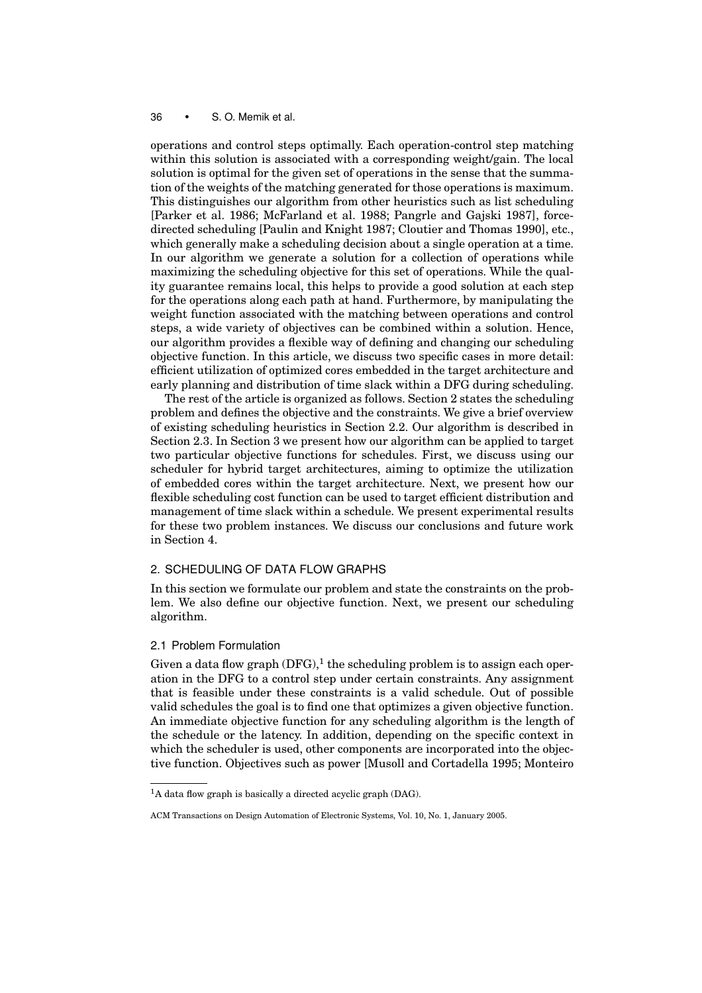operations and control steps optimally. Each operation-control step matching within this solution is associated with a corresponding weight/gain. The local solution is optimal for the given set of operations in the sense that the summation of the weights of the matching generated for those operations is maximum. This distinguishes our algorithm from other heuristics such as list scheduling [Parker et al. 1986; McFarland et al. 1988; Pangrle and Gajski 1987], forcedirected scheduling [Paulin and Knight 1987; Cloutier and Thomas 1990], etc., which generally make a scheduling decision about a single operation at a time. In our algorithm we generate a solution for a collection of operations while maximizing the scheduling objective for this set of operations. While the quality guarantee remains local, this helps to provide a good solution at each step for the operations along each path at hand. Furthermore, by manipulating the weight function associated with the matching between operations and control steps, a wide variety of objectives can be combined within a solution. Hence, our algorithm provides a flexible way of defining and changing our scheduling objective function. In this article, we discuss two specific cases in more detail: efficient utilization of optimized cores embedded in the target architecture and early planning and distribution of time slack within a DFG during scheduling.

The rest of the article is organized as follows. Section 2 states the scheduling problem and defines the objective and the constraints. We give a brief overview of existing scheduling heuristics in Section 2.2. Our algorithm is described in Section 2.3. In Section 3 we present how our algorithm can be applied to target two particular objective functions for schedules. First, we discuss using our scheduler for hybrid target architectures, aiming to optimize the utilization of embedded cores within the target architecture. Next, we present how our flexible scheduling cost function can be used to target efficient distribution and management of time slack within a schedule. We present experimental results for these two problem instances. We discuss our conclusions and future work in Section 4.

# 2. SCHEDULING OF DATA FLOW GRAPHS

In this section we formulate our problem and state the constraints on the problem. We also define our objective function. Next, we present our scheduling algorithm.

# 2.1 Problem Formulation

Given a data flow graph  $(DFG)$ ,<sup>1</sup> the scheduling problem is to assign each operation in the DFG to a control step under certain constraints. Any assignment that is feasible under these constraints is a valid schedule. Out of possible valid schedules the goal is to find one that optimizes a given objective function. An immediate objective function for any scheduling algorithm is the length of the schedule or the latency. In addition, depending on the specific context in which the scheduler is used, other components are incorporated into the objective function. Objectives such as power [Musoll and Cortadella 1995; Monteiro

<sup>&</sup>lt;sup>1</sup>A data flow graph is basically a directed acyclic graph (DAG).

ACM Transactions on Design Automation of Electronic Systems, Vol. 10, No. 1, January 2005.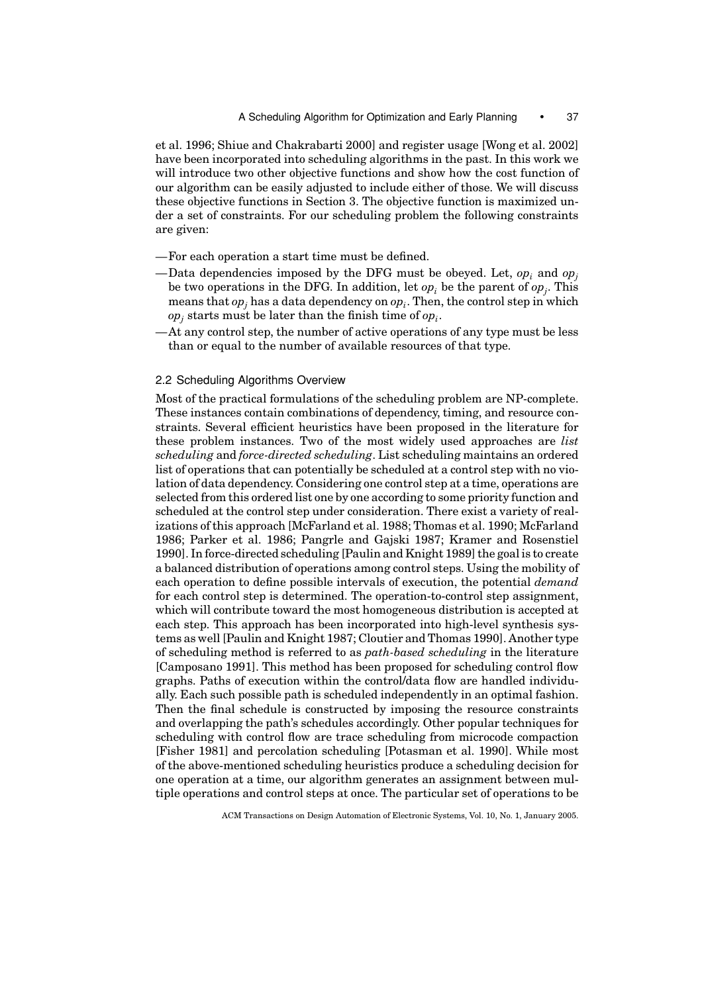et al. 1996; Shiue and Chakrabarti 2000] and register usage [Wong et al. 2002] have been incorporated into scheduling algorithms in the past. In this work we will introduce two other objective functions and show how the cost function of our algorithm can be easily adjusted to include either of those. We will discuss these objective functions in Section 3. The objective function is maximized under a set of constraints. For our scheduling problem the following constraints are given:

- —For each operation a start time must be defined.
- —Data dependencies imposed by the DFG must be obeyed. Let,  $op_i$  and  $op_j$ be two operations in the DFG. In addition, let  $op_i$  be the parent of  $op_i$ . This means that  $op_i$  has a data dependency on  $op_i$ . Then, the control step in which  $op_i$  starts must be later than the finish time of  $op_i$ .
- —At any control step, the number of active operations of any type must be less than or equal to the number of available resources of that type.

## 2.2 Scheduling Algorithms Overview

Most of the practical formulations of the scheduling problem are NP-complete. These instances contain combinations of dependency, timing, and resource constraints. Several efficient heuristics have been proposed in the literature for these problem instances. Two of the most widely used approaches are *list scheduling* and *force-directed scheduling*. List scheduling maintains an ordered list of operations that can potentially be scheduled at a control step with no violation of data dependency. Considering one control step at a time, operations are selected from this ordered list one by one according to some priority function and scheduled at the control step under consideration. There exist a variety of realizations of this approach [McFarland et al. 1988; Thomas et al. 1990; McFarland 1986; Parker et al. 1986; Pangrle and Gajski 1987; Kramer and Rosenstiel 1990]. In force-directed scheduling [Paulin and Knight 1989] the goal is to create a balanced distribution of operations among control steps. Using the mobility of each operation to define possible intervals of execution, the potential *demand* for each control step is determined. The operation-to-control step assignment, which will contribute toward the most homogeneous distribution is accepted at each step. This approach has been incorporated into high-level synthesis systems as well [Paulin and Knight 1987; Cloutier and Thomas 1990]. Another type of scheduling method is referred to as *path-based scheduling* in the literature [Camposano 1991]. This method has been proposed for scheduling control flow graphs. Paths of execution within the control/data flow are handled individually. Each such possible path is scheduled independently in an optimal fashion. Then the final schedule is constructed by imposing the resource constraints and overlapping the path's schedules accordingly. Other popular techniques for scheduling with control flow are trace scheduling from microcode compaction [Fisher 1981] and percolation scheduling [Potasman et al. 1990]. While most of the above-mentioned scheduling heuristics produce a scheduling decision for one operation at a time, our algorithm generates an assignment between multiple operations and control steps at once. The particular set of operations to be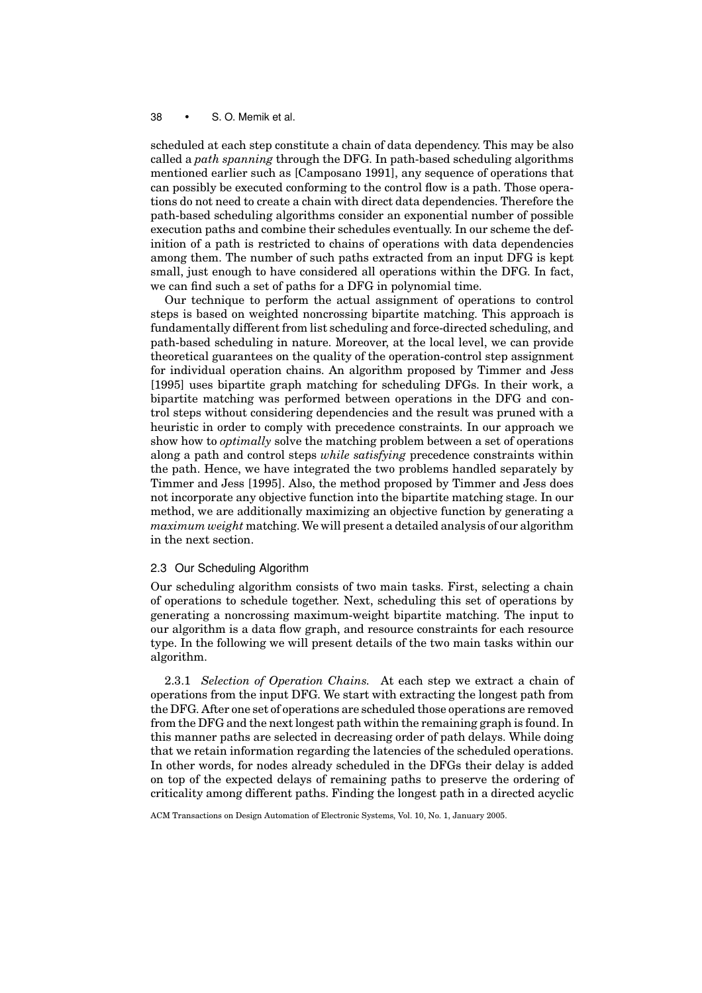scheduled at each step constitute a chain of data dependency. This may be also called a *path spanning* through the DFG. In path-based scheduling algorithms mentioned earlier such as [Camposano 1991], any sequence of operations that can possibly be executed conforming to the control flow is a path. Those operations do not need to create a chain with direct data dependencies. Therefore the path-based scheduling algorithms consider an exponential number of possible execution paths and combine their schedules eventually. In our scheme the definition of a path is restricted to chains of operations with data dependencies among them. The number of such paths extracted from an input DFG is kept small, just enough to have considered all operations within the DFG. In fact, we can find such a set of paths for a DFG in polynomial time.

Our technique to perform the actual assignment of operations to control steps is based on weighted noncrossing bipartite matching. This approach is fundamentally different from list scheduling and force-directed scheduling, and path-based scheduling in nature. Moreover, at the local level, we can provide theoretical guarantees on the quality of the operation-control step assignment for individual operation chains. An algorithm proposed by Timmer and Jess [1995] uses bipartite graph matching for scheduling DFGs. In their work, a bipartite matching was performed between operations in the DFG and control steps without considering dependencies and the result was pruned with a heuristic in order to comply with precedence constraints. In our approach we show how to *optimally* solve the matching problem between a set of operations along a path and control steps *while satisfying* precedence constraints within the path. Hence, we have integrated the two problems handled separately by Timmer and Jess [1995]. Also, the method proposed by Timmer and Jess does not incorporate any objective function into the bipartite matching stage. In our method, we are additionally maximizing an objective function by generating a *maximum weight* matching. We will present a detailed analysis of our algorithm in the next section.

## 2.3 Our Scheduling Algorithm

Our scheduling algorithm consists of two main tasks. First, selecting a chain of operations to schedule together. Next, scheduling this set of operations by generating a noncrossing maximum-weight bipartite matching. The input to our algorithm is a data flow graph, and resource constraints for each resource type. In the following we will present details of the two main tasks within our algorithm.

2.3.1 *Selection of Operation Chains.* At each step we extract a chain of operations from the input DFG. We start with extracting the longest path from the DFG. After one set of operations are scheduled those operations are removed from the DFG and the next longest path within the remaining graph is found. In this manner paths are selected in decreasing order of path delays. While doing that we retain information regarding the latencies of the scheduled operations. In other words, for nodes already scheduled in the DFGs their delay is added on top of the expected delays of remaining paths to preserve the ordering of criticality among different paths. Finding the longest path in a directed acyclic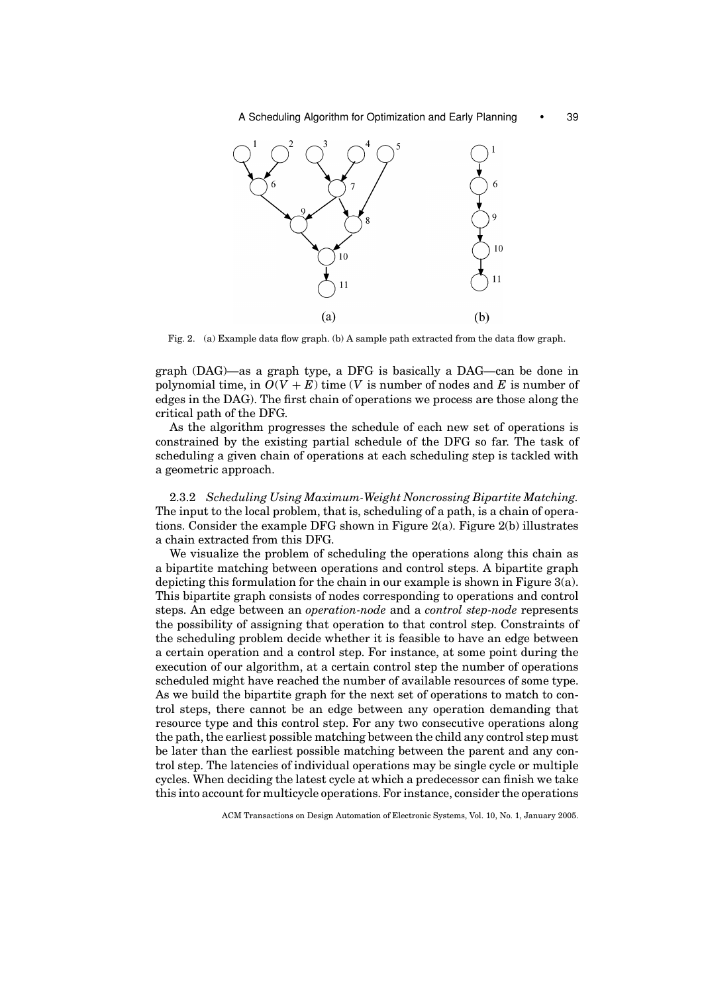

Fig. 2. (a) Example data flow graph. (b) A sample path extracted from the data flow graph.

graph (DAG)—as a graph type, a DFG is basically a DAG—can be done in polynomial time, in  $O(V + E)$  time (*V* is number of nodes and *E* is number of edges in the DAG). The first chain of operations we process are those along the critical path of the DFG.

As the algorithm progresses the schedule of each new set of operations is constrained by the existing partial schedule of the DFG so far. The task of scheduling a given chain of operations at each scheduling step is tackled with a geometric approach.

2.3.2 *Scheduling Using Maximum-Weight Noncrossing Bipartite Matching.* The input to the local problem, that is, scheduling of a path, is a chain of operations. Consider the example DFG shown in Figure 2(a). Figure 2(b) illustrates a chain extracted from this DFG.

We visualize the problem of scheduling the operations along this chain as a bipartite matching between operations and control steps. A bipartite graph depicting this formulation for the chain in our example is shown in Figure 3(a). This bipartite graph consists of nodes corresponding to operations and control steps. An edge between an *operation-node* and a *control step-node* represents the possibility of assigning that operation to that control step. Constraints of the scheduling problem decide whether it is feasible to have an edge between a certain operation and a control step. For instance, at some point during the execution of our algorithm, at a certain control step the number of operations scheduled might have reached the number of available resources of some type. As we build the bipartite graph for the next set of operations to match to control steps, there cannot be an edge between any operation demanding that resource type and this control step. For any two consecutive operations along the path, the earliest possible matching between the child any control step must be later than the earliest possible matching between the parent and any control step. The latencies of individual operations may be single cycle or multiple cycles. When deciding the latest cycle at which a predecessor can finish we take this into account for multicycle operations. For instance, consider the operations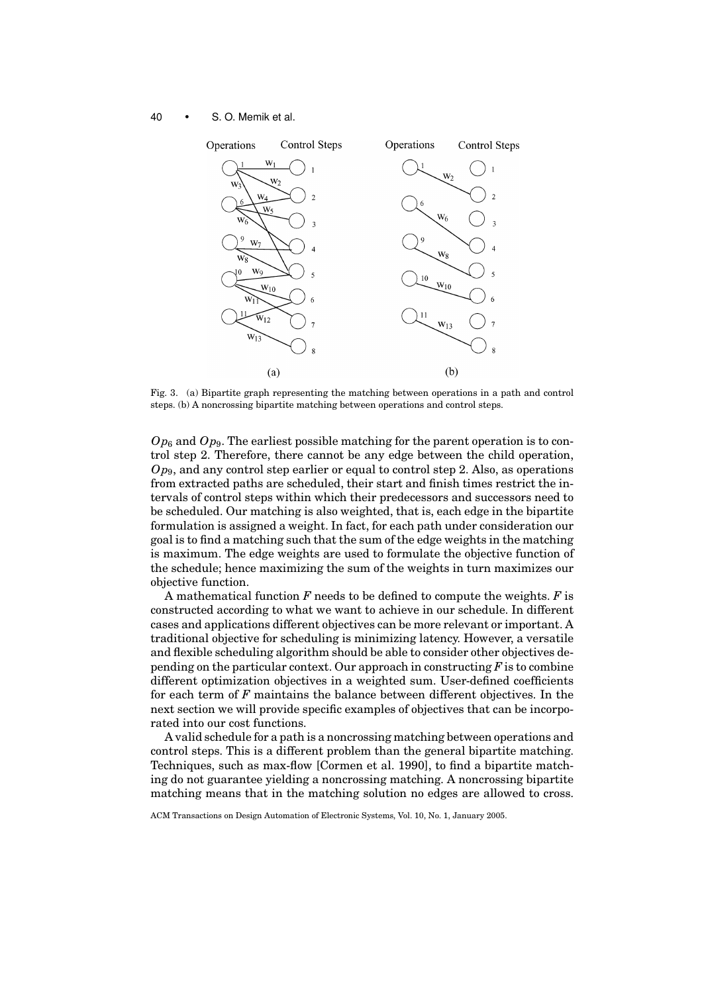

Fig. 3. (a) Bipartite graph representing the matching between operations in a path and control steps. (b) A noncrossing bipartite matching between operations and control steps.

 $Op_6$  and  $Op_9$ . The earliest possible matching for the parent operation is to control step 2. Therefore, there cannot be any edge between the child operation, *Op*9, and any control step earlier or equal to control step 2. Also, as operations from extracted paths are scheduled, their start and finish times restrict the intervals of control steps within which their predecessors and successors need to be scheduled. Our matching is also weighted, that is, each edge in the bipartite formulation is assigned a weight. In fact, for each path under consideration our goal is to find a matching such that the sum of the edge weights in the matching is maximum. The edge weights are used to formulate the objective function of the schedule; hence maximizing the sum of the weights in turn maximizes our objective function.

A mathematical function *F* needs to be defined to compute the weights. *F* is constructed according to what we want to achieve in our schedule. In different cases and applications different objectives can be more relevant or important. A traditional objective for scheduling is minimizing latency. However, a versatile and flexible scheduling algorithm should be able to consider other objectives depending on the particular context. Our approach in constructing *F* is to combine different optimization objectives in a weighted sum. User-defined coefficients for each term of *F* maintains the balance between different objectives. In the next section we will provide specific examples of objectives that can be incorporated into our cost functions.

A valid schedule for a path is a noncrossing matching between operations and control steps. This is a different problem than the general bipartite matching. Techniques, such as max-flow [Cormen et al. 1990], to find a bipartite matching do not guarantee yielding a noncrossing matching. A noncrossing bipartite matching means that in the matching solution no edges are allowed to cross.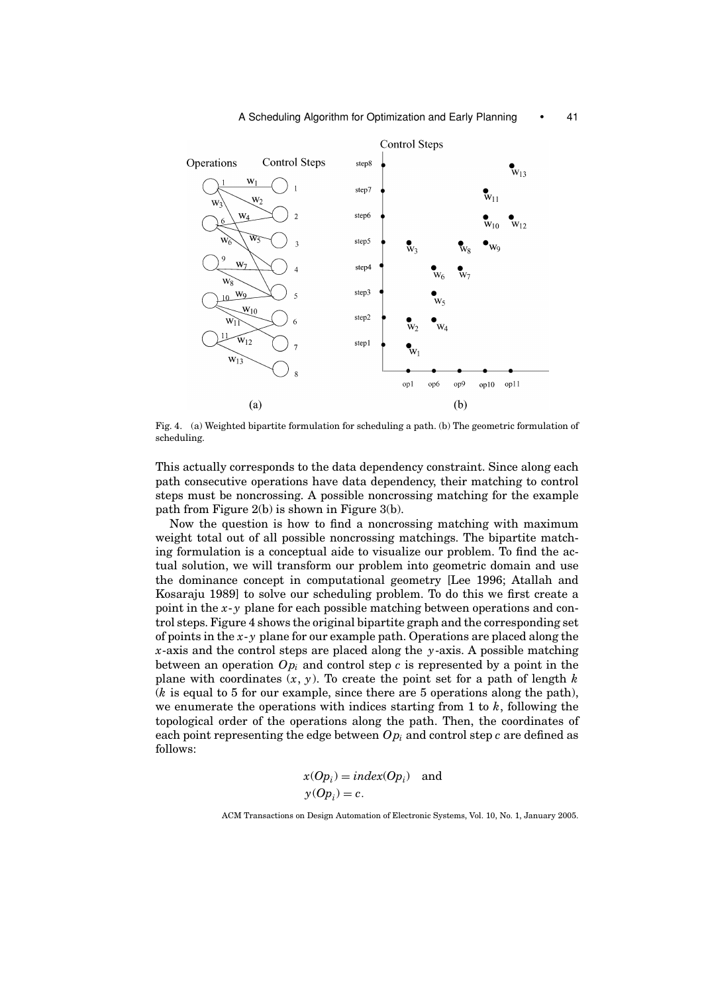

Fig. 4. (a) Weighted bipartite formulation for scheduling a path. (b) The geometric formulation of scheduling.

This actually corresponds to the data dependency constraint. Since along each path consecutive operations have data dependency, their matching to control steps must be noncrossing. A possible noncrossing matching for the example path from Figure 2(b) is shown in Figure 3(b).

Now the question is how to find a noncrossing matching with maximum weight total out of all possible noncrossing matchings. The bipartite matching formulation is a conceptual aide to visualize our problem. To find the actual solution, we will transform our problem into geometric domain and use the dominance concept in computational geometry [Lee 1996; Atallah and Kosaraju 1989] to solve our scheduling problem. To do this we first create a point in the  $x - y$  plane for each possible matching between operations and control steps. Figure 4 shows the original bipartite graph and the corresponding set of points in the *x*- *y* plane for our example path. Operations are placed along the *x*-axis and the control steps are placed along the *y*-axis. A possible matching between an operation  $Op_i$  and control step *c* is represented by a point in the plane with coordinates  $(x, y)$ . To create the point set for a path of length  $k$ (*k* is equal to 5 for our example, since there are 5 operations along the path), we enumerate the operations with indices starting from 1 to *k*, following the topological order of the operations along the path. Then, the coordinates of each point representing the edge between  $Op<sub>i</sub>$  and control step  $c$  are defined as follows:

$$
x(Opi) = index(Opi) and y(Opi) = c.
$$

ACM Transactions on Design Automation of Electronic Systems, Vol. 10, No. 1, January 2005.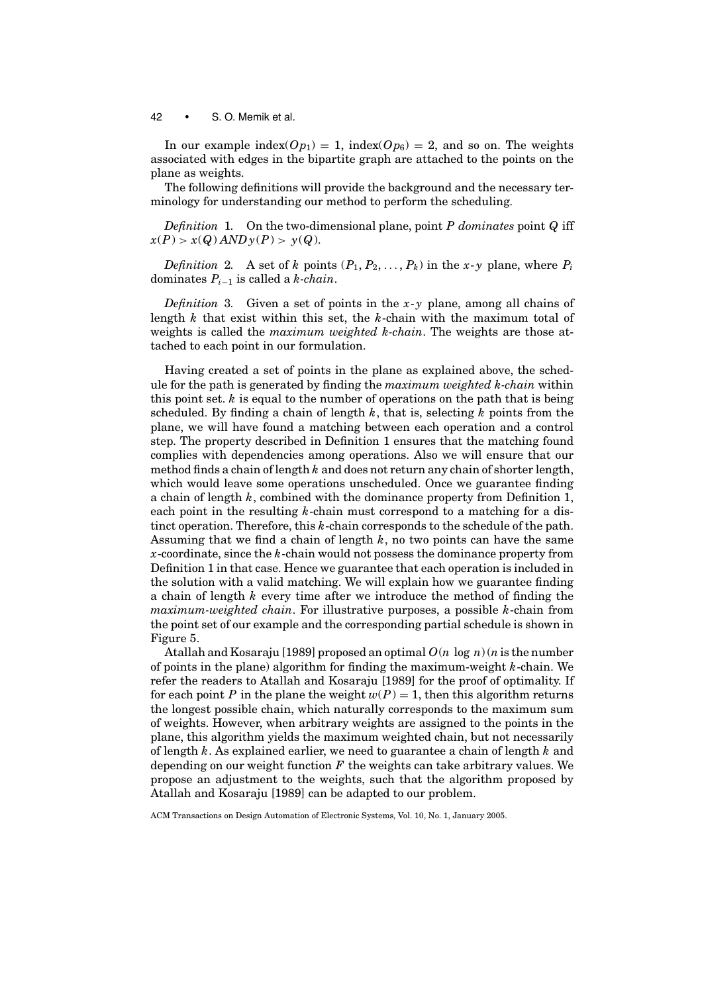In our example index( $Op_1$ ) = 1, index( $Op_6$ ) = 2, and so on. The weights associated with edges in the bipartite graph are attached to the points on the plane as weights.

The following definitions will provide the background and the necessary terminology for understanding our method to perform the scheduling.

*Definition* 1*.* On the two-dimensional plane, point *P dominates* point *Q* iff  $x(P) > x(Q)$  *AND*  $y(P) > y(Q)$ .

*Definition* 2*.* A set of *k* points  $(P_1, P_2, \ldots, P_k)$  in the *x*-*y* plane, where  $P_i$ dominates *Pi*−<sup>1</sup> is called a *k-chain*.

*Definition* 3*.* Given a set of points in the *x*- *y* plane, among all chains of length *k* that exist within this set, the *k*-chain with the maximum total of weights is called the *maximum weighted k-chain*. The weights are those attached to each point in our formulation.

Having created a set of points in the plane as explained above, the schedule for the path is generated by finding the *maximum weighted k-chain* within this point set. *k* is equal to the number of operations on the path that is being scheduled. By finding a chain of length *k*, that is, selecting *k* points from the plane, we will have found a matching between each operation and a control step. The property described in Definition 1 ensures that the matching found complies with dependencies among operations. Also we will ensure that our method finds a chain of length *k* and does not return any chain of shorter length, which would leave some operations unscheduled. Once we guarantee finding a chain of length *k*, combined with the dominance property from Definition 1, each point in the resulting *k*-chain must correspond to a matching for a distinct operation. Therefore, this *k*-chain corresponds to the schedule of the path. Assuming that we find a chain of length  $k$ , no two points can have the same *x*-coordinate, since the *k*-chain would not possess the dominance property from Definition 1 in that case. Hence we guarantee that each operation is included in the solution with a valid matching. We will explain how we guarantee finding a chain of length *k* every time after we introduce the method of finding the *maximum-weighted chain*. For illustrative purposes, a possible *k*-chain from the point set of our example and the corresponding partial schedule is shown in Figure 5.

Atallah and Kosaraju [1989] proposed an optimal *O*(*n* log *n*) (*n* is the number of points in the plane) algorithm for finding the maximum-weight *k*-chain. We refer the readers to Atallah and Kosaraju [1989] for the proof of optimality. If for each point *P* in the plane the weight  $w(P) = 1$ , then this algorithm returns the longest possible chain, which naturally corresponds to the maximum sum of weights. However, when arbitrary weights are assigned to the points in the plane, this algorithm yields the maximum weighted chain, but not necessarily of length *k*. As explained earlier, we need to guarantee a chain of length *k* and depending on our weight function *F* the weights can take arbitrary values. We propose an adjustment to the weights, such that the algorithm proposed by Atallah and Kosaraju [1989] can be adapted to our problem.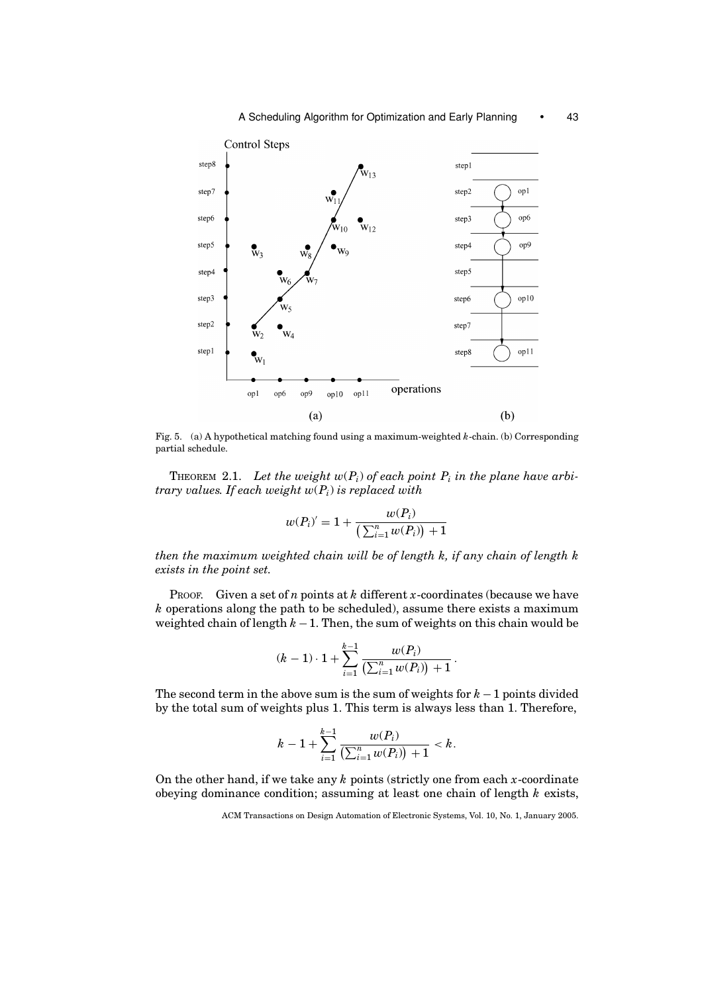

Fig. 5. (a) A hypothetical matching found using a maximum-weighted *k*-chain. (b) Corresponding partial schedule.

THEOREM 2.1. Let the weight  $w(P_i)$  of each point  $P_i$  in the plane have arbi*trary values. If each weight w*(*Pi*) *is replaced with*

$$
w(P_i)' = 1 + \frac{w(P_i)}{\left(\sum_{i=1}^n w(P_i)\right) + 1}
$$

*then the maximum weighted chain will be of length k, if any chain of length k exists in the point set.*

PROOF. Given a set of *n* points at *k* different *x*-coordinates (because we have *k* operations along the path to be scheduled), assume there exists a maximum weighted chain of length *k* −1. Then, the sum of weights on this chain would be

$$
(k-1)\cdot 1 + \sum_{i=1}^{k-1} \frac{w(P_i)}{\left(\sum_{i=1}^n w(P_i)\right) + 1}.
$$

The second term in the above sum is the sum of weights for *k* −1 points divided by the total sum of weights plus 1. This term is always less than 1. Therefore,

$$
k-1+\sum_{i=1}^{k-1}\frac{w(P_i)}{\left(\sum_{i=1}^n w(P_i)\right)+1} < k.
$$

On the other hand, if we take any *k* points (strictly one from each *x*-coordinate obeying dominance condition; assuming at least one chain of length *k* exists,

ACM Transactions on Design Automation of Electronic Systems, Vol. 10, No. 1, January 2005.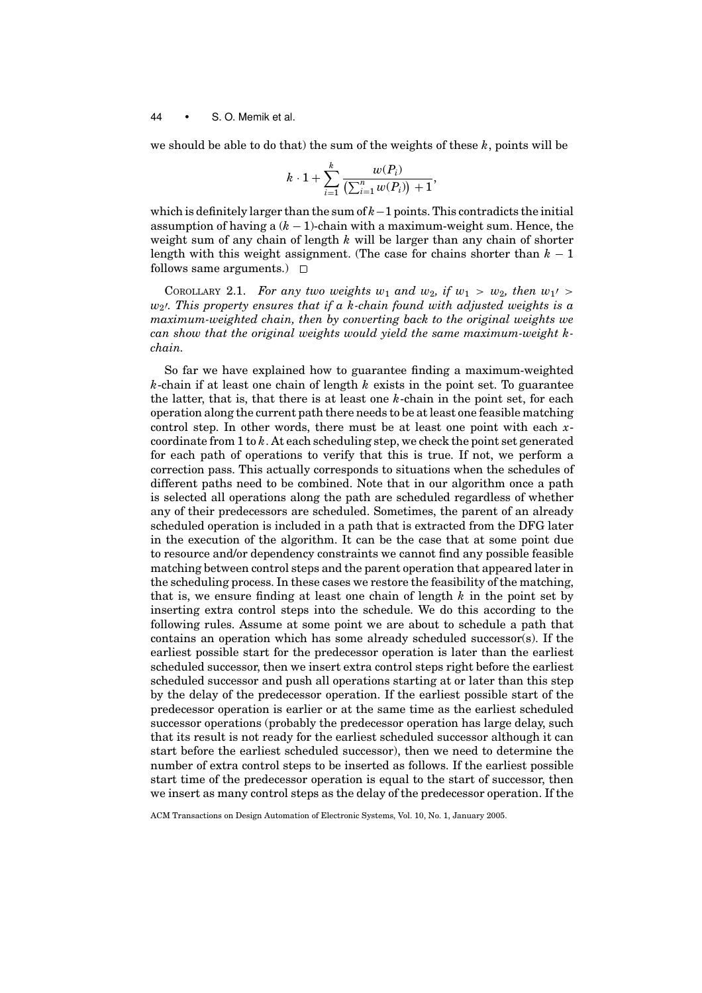we should be able to do that) the sum of the weights of these *k*, points will be

$$
k \cdot 1 + \sum_{i=1}^{k} \frac{w(P_i)}{\left(\sum_{i=1}^{n} w(P_i)\right) + 1},
$$

which is definitely larger than the sum of *k*−1 points. This contradicts the initial assumption of having a (*k* − 1)-chain with a maximum-weight sum. Hence, the weight sum of any chain of length *k* will be larger than any chain of shorter length with this weight assignment. (The case for chains shorter than  $k-1$ follows same arguments.)  $\Box$ 

COROLLARY 2.1. For any two weights  $w_1$  and  $w_2$ , if  $w_1 > w_2$ , then  $w_1' >$ *w*2-*. This property ensures that if a k-chain found with adjusted weights is a maximum-weighted chain, then by converting back to the original weights we can show that the original weights would yield the same maximum-weight kchain.*

So far we have explained how to guarantee finding a maximum-weighted *k*-chain if at least one chain of length *k* exists in the point set. To guarantee the latter, that is, that there is at least one *k*-chain in the point set, for each operation along the current path there needs to be at least one feasible matching control step. In other words, there must be at least one point with each *x*coordinate from 1 to *k*. At each scheduling step, we check the point set generated for each path of operations to verify that this is true. If not, we perform a correction pass. This actually corresponds to situations when the schedules of different paths need to be combined. Note that in our algorithm once a path is selected all operations along the path are scheduled regardless of whether any of their predecessors are scheduled. Sometimes, the parent of an already scheduled operation is included in a path that is extracted from the DFG later in the execution of the algorithm. It can be the case that at some point due to resource and/or dependency constraints we cannot find any possible feasible matching between control steps and the parent operation that appeared later in the scheduling process. In these cases we restore the feasibility of the matching, that is, we ensure finding at least one chain of length *k* in the point set by inserting extra control steps into the schedule. We do this according to the following rules. Assume at some point we are about to schedule a path that contains an operation which has some already scheduled successor(s). If the earliest possible start for the predecessor operation is later than the earliest scheduled successor, then we insert extra control steps right before the earliest scheduled successor and push all operations starting at or later than this step by the delay of the predecessor operation. If the earliest possible start of the predecessor operation is earlier or at the same time as the earliest scheduled successor operations (probably the predecessor operation has large delay, such that its result is not ready for the earliest scheduled successor although it can start before the earliest scheduled successor), then we need to determine the number of extra control steps to be inserted as follows. If the earliest possible start time of the predecessor operation is equal to the start of successor, then we insert as many control steps as the delay of the predecessor operation. If the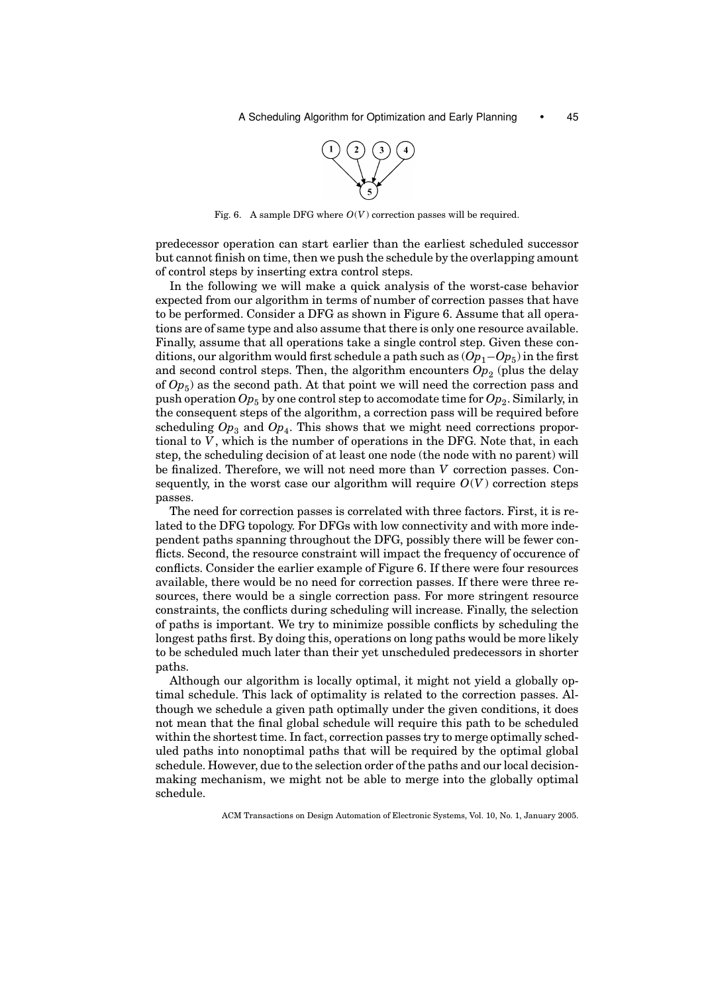

Fig. 6. A sample DFG where  $O(V)$  correction passes will be required.

predecessor operation can start earlier than the earliest scheduled successor but cannot finish on time, then we push the schedule by the overlapping amount of control steps by inserting extra control steps.

In the following we will make a quick analysis of the worst-case behavior expected from our algorithm in terms of number of correction passes that have to be performed. Consider a DFG as shown in Figure 6. Assume that all operations are of same type and also assume that there is only one resource available. Finally, assume that all operations take a single control step. Given these conditions, our algorithm would first schedule a path such as  $(Op_1 - Op_5)$  in the first and second control steps. Then, the algorithm encounters  $Op_2$  (plus the delay of  $Op_5$ ) as the second path. At that point we will need the correction pass and push operation  $Op_5$  by one control step to accomodate time for  $Op_2$ . Similarly, in the consequent steps of the algorithm, a correction pass will be required before scheduling  $Op_3$  and  $Op_4$ . This shows that we might need corrections proportional to *V* , which is the number of operations in the DFG. Note that, in each step, the scheduling decision of at least one node (the node with no parent) will be finalized. Therefore, we will not need more than *V* correction passes. Consequently, in the worst case our algorithm will require  $O(V)$  correction steps passes.

The need for correction passes is correlated with three factors. First, it is related to the DFG topology. For DFGs with low connectivity and with more independent paths spanning throughout the DFG, possibly there will be fewer conflicts. Second, the resource constraint will impact the frequency of occurence of conflicts. Consider the earlier example of Figure 6. If there were four resources available, there would be no need for correction passes. If there were three resources, there would be a single correction pass. For more stringent resource constraints, the conflicts during scheduling will increase. Finally, the selection of paths is important. We try to minimize possible conflicts by scheduling the longest paths first. By doing this, operations on long paths would be more likely to be scheduled much later than their yet unscheduled predecessors in shorter paths.

Although our algorithm is locally optimal, it might not yield a globally optimal schedule. This lack of optimality is related to the correction passes. Although we schedule a given path optimally under the given conditions, it does not mean that the final global schedule will require this path to be scheduled within the shortest time. In fact, correction passes try to merge optimally scheduled paths into nonoptimal paths that will be required by the optimal global schedule. However, due to the selection order of the paths and our local decisionmaking mechanism, we might not be able to merge into the globally optimal schedule.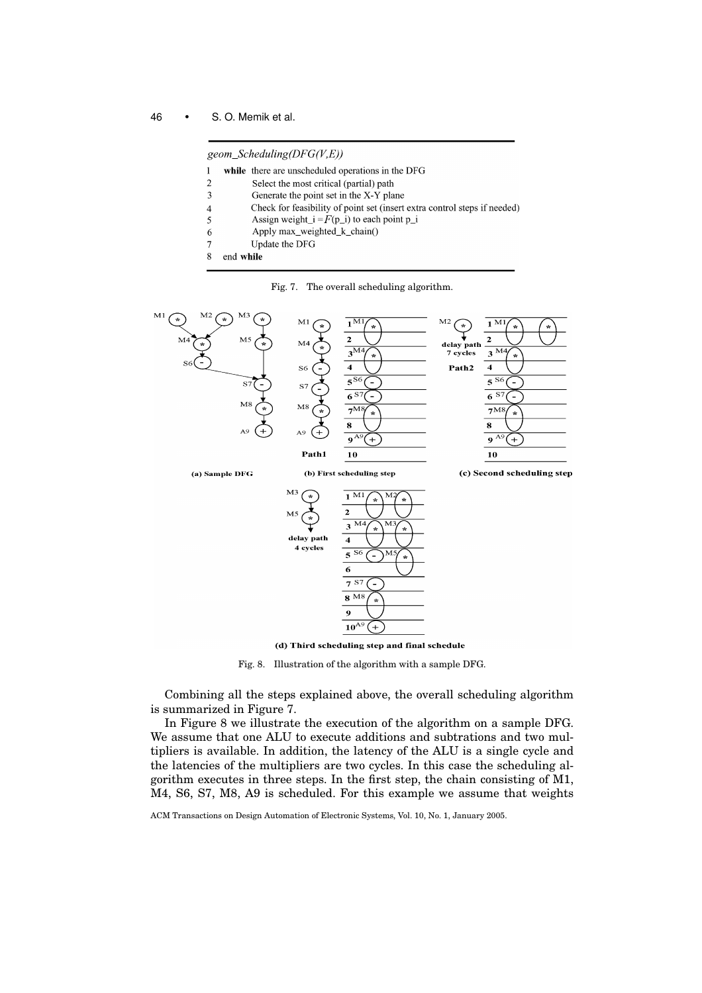| $geom\_Scheduling(DFG(V,E))$ |  |
|------------------------------|--|
|------------------------------|--|

| while there are unscheduled operations in the DFG                         |
|---------------------------------------------------------------------------|
| Select the most critical (partial) path                                   |
| Generate the point set in the X-Y plane                                   |
| Check for feasibility of point set (insert extra control steps if needed) |
| Assign weight $i = F(p_i)$ to each point $p_i$                            |
| Apply max_weighted_k_chain()                                              |
| Update the DFG                                                            |
|                                                                           |
| end while                                                                 |





(d) Third scheduling step and final schedule

Combining all the steps explained above, the overall scheduling algorithm is summarized in Figure 7.

In Figure 8 we illustrate the execution of the algorithm on a sample DFG. We assume that one ALU to execute additions and subtrations and two multipliers is available. In addition, the latency of the ALU is a single cycle and the latencies of the multipliers are two cycles. In this case the scheduling algorithm executes in three steps. In the first step, the chain consisting of M1, M4, S6, S7, M8, A9 is scheduled. For this example we assume that weights

Fig. 8. Illustration of the algorithm with a sample DFG.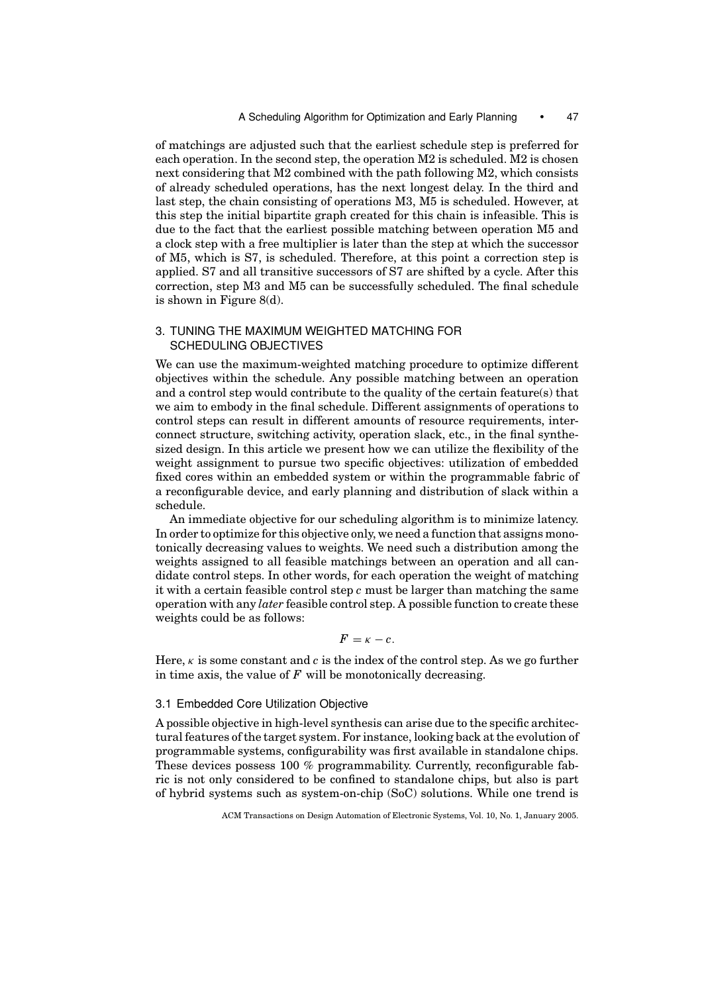of matchings are adjusted such that the earliest schedule step is preferred for each operation. In the second step, the operation M2 is scheduled. M2 is chosen next considering that M2 combined with the path following M2, which consists of already scheduled operations, has the next longest delay. In the third and last step, the chain consisting of operations M3, M5 is scheduled. However, at this step the initial bipartite graph created for this chain is infeasible. This is due to the fact that the earliest possible matching between operation M5 and a clock step with a free multiplier is later than the step at which the successor of M5, which is S7, is scheduled. Therefore, at this point a correction step is applied. S7 and all transitive successors of S7 are shifted by a cycle. After this correction, step M3 and M5 can be successfully scheduled. The final schedule is shown in Figure 8(d).

# 3. TUNING THE MAXIMUM WEIGHTED MATCHING FOR SCHEDULING OBJECTIVES

We can use the maximum-weighted matching procedure to optimize different objectives within the schedule. Any possible matching between an operation and a control step would contribute to the quality of the certain feature(s) that we aim to embody in the final schedule. Different assignments of operations to control steps can result in different amounts of resource requirements, interconnect structure, switching activity, operation slack, etc., in the final synthesized design. In this article we present how we can utilize the flexibility of the weight assignment to pursue two specific objectives: utilization of embedded fixed cores within an embedded system or within the programmable fabric of a reconfigurable device, and early planning and distribution of slack within a schedule.

An immediate objective for our scheduling algorithm is to minimize latency. In order to optimize for this objective only, we need a function that assigns monotonically decreasing values to weights. We need such a distribution among the weights assigned to all feasible matchings between an operation and all candidate control steps. In other words, for each operation the weight of matching it with a certain feasible control step *c* must be larger than matching the same operation with any *later* feasible control step. A possible function to create these weights could be as follows:

# $F = \kappa - c$ .

Here,  $\kappa$  is some constant and *c* is the index of the control step. As we go further in time axis, the value of *F* will be monotonically decreasing.

## 3.1 Embedded Core Utilization Objective

A possible objective in high-level synthesis can arise due to the specific architectural features of the target system. For instance, looking back at the evolution of programmable systems, configurability was first available in standalone chips. These devices possess 100 % programmability. Currently, reconfigurable fabric is not only considered to be confined to standalone chips, but also is part of hybrid systems such as system-on-chip (SoC) solutions. While one trend is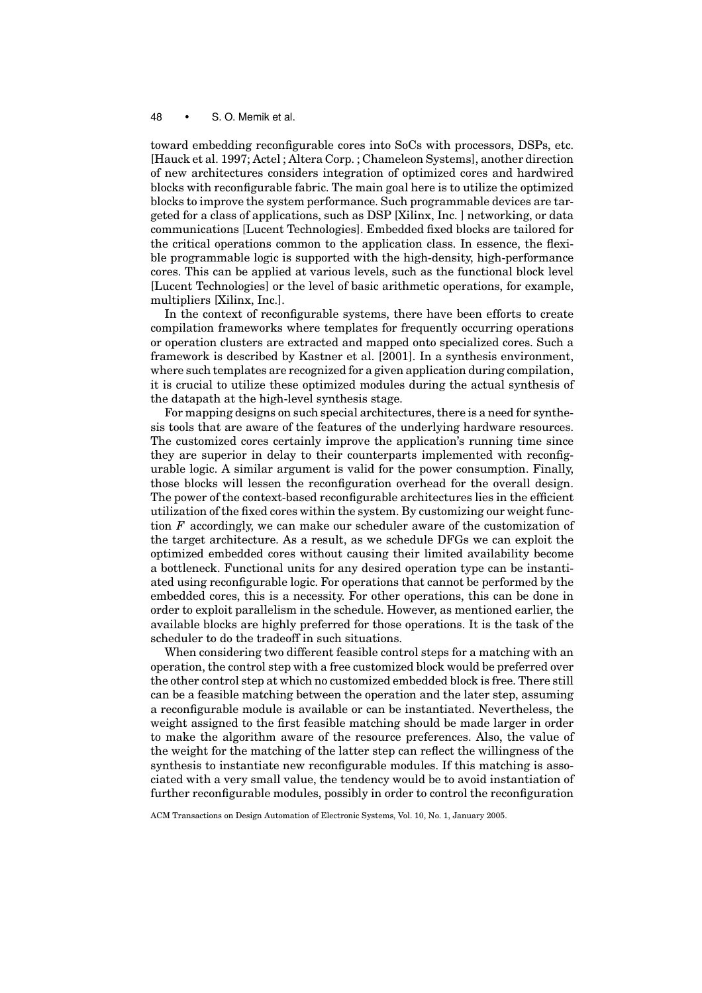toward embedding reconfigurable cores into SoCs with processors, DSPs, etc. [Hauck et al. 1997; Actel ; Altera Corp. ; Chameleon Systems], another direction of new architectures considers integration of optimized cores and hardwired blocks with reconfigurable fabric. The main goal here is to utilize the optimized blocks to improve the system performance. Such programmable devices are targeted for a class of applications, such as DSP [Xilinx, Inc. ] networking, or data communications [Lucent Technologies]. Embedded fixed blocks are tailored for the critical operations common to the application class. In essence, the flexible programmable logic is supported with the high-density, high-performance cores. This can be applied at various levels, such as the functional block level [Lucent Technologies] or the level of basic arithmetic operations, for example, multipliers [Xilinx, Inc.].

In the context of reconfigurable systems, there have been efforts to create compilation frameworks where templates for frequently occurring operations or operation clusters are extracted and mapped onto specialized cores. Such a framework is described by Kastner et al. [2001]. In a synthesis environment, where such templates are recognized for a given application during compilation, it is crucial to utilize these optimized modules during the actual synthesis of the datapath at the high-level synthesis stage.

For mapping designs on such special architectures, there is a need for synthesis tools that are aware of the features of the underlying hardware resources. The customized cores certainly improve the application's running time since they are superior in delay to their counterparts implemented with reconfigurable logic. A similar argument is valid for the power consumption. Finally, those blocks will lessen the reconfiguration overhead for the overall design. The power of the context-based reconfigurable architectures lies in the efficient utilization of the fixed cores within the system. By customizing our weight function *F* accordingly, we can make our scheduler aware of the customization of the target architecture. As a result, as we schedule DFGs we can exploit the optimized embedded cores without causing their limited availability become a bottleneck. Functional units for any desired operation type can be instantiated using reconfigurable logic. For operations that cannot be performed by the embedded cores, this is a necessity. For other operations, this can be done in order to exploit parallelism in the schedule. However, as mentioned earlier, the available blocks are highly preferred for those operations. It is the task of the scheduler to do the tradeoff in such situations.

When considering two different feasible control steps for a matching with an operation, the control step with a free customized block would be preferred over the other control step at which no customized embedded block is free. There still can be a feasible matching between the operation and the later step, assuming a reconfigurable module is available or can be instantiated. Nevertheless, the weight assigned to the first feasible matching should be made larger in order to make the algorithm aware of the resource preferences. Also, the value of the weight for the matching of the latter step can reflect the willingness of the synthesis to instantiate new reconfigurable modules. If this matching is associated with a very small value, the tendency would be to avoid instantiation of further reconfigurable modules, possibly in order to control the reconfiguration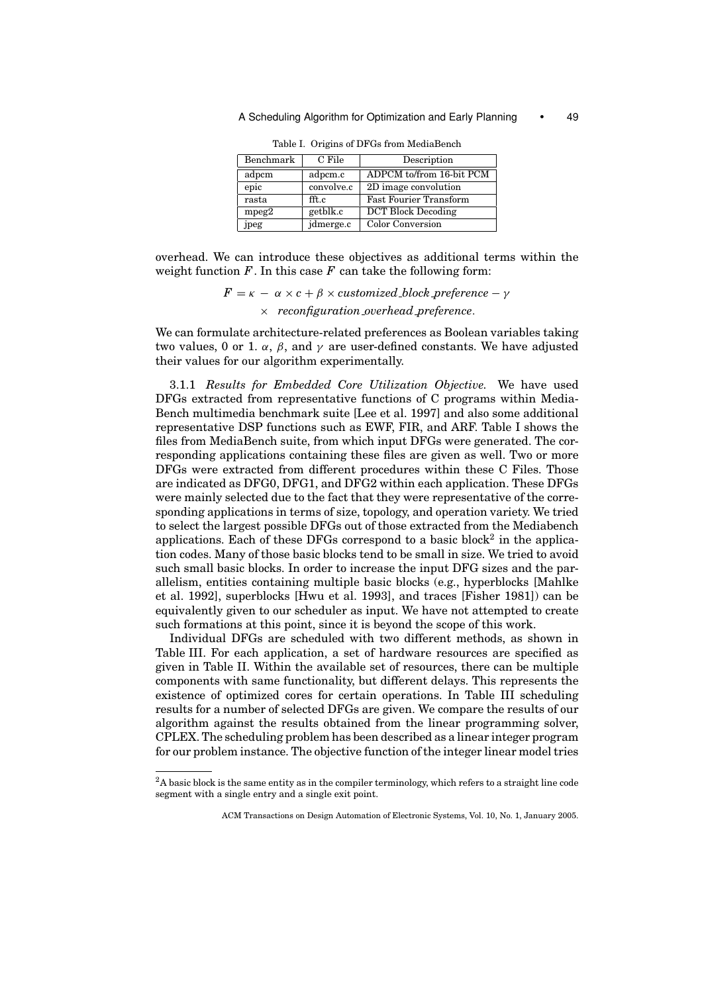## A Scheduling Algorithm for Optimization and Early Planning • 49

| Benchmark | C File         | Description                   |  |  |
|-----------|----------------|-------------------------------|--|--|
| adpcm     | adpcm.c        | ADPCM to/from 16-bit PCM      |  |  |
| epic      | convolve.c     | 2D image convolution          |  |  |
| rasta     | $_{\rm fft.c}$ | <b>Fast Fourier Transform</b> |  |  |
| mpeg2     | getblk.c       | <b>DCT Block Decoding</b>     |  |  |
| jpeg      | jdmerge.c      | <b>Color Conversion</b>       |  |  |

Table I. Origins of DFGs from MediaBench

overhead. We can introduce these objectives as additional terms within the weight function  $F$ . In this case  $F$  can take the following form:

| $F = \kappa - \alpha \times c + \beta \times$ customized block preference $-\gamma$ |
|-------------------------------------------------------------------------------------|
| $\times$ reconfiguration overhead preference.                                       |

We can formulate architecture-related preferences as Boolean variables taking two values, 0 or 1.  $\alpha$ ,  $\beta$ , and  $\gamma$  are user-defined constants. We have adjusted their values for our algorithm experimentally.

3.1.1 *Results for Embedded Core Utilization Objective.* We have used DFGs extracted from representative functions of C programs within Media-Bench multimedia benchmark suite [Lee et al. 1997] and also some additional representative DSP functions such as EWF, FIR, and ARF. Table I shows the files from MediaBench suite, from which input DFGs were generated. The corresponding applications containing these files are given as well. Two or more DFGs were extracted from different procedures within these C Files. Those are indicated as DFG0, DFG1, and DFG2 within each application. These DFGs were mainly selected due to the fact that they were representative of the corresponding applications in terms of size, topology, and operation variety. We tried to select the largest possible DFGs out of those extracted from the Mediabench applications. Each of these DFGs correspond to a basic block<sup>2</sup> in the application codes. Many of those basic blocks tend to be small in size. We tried to avoid such small basic blocks. In order to increase the input DFG sizes and the parallelism, entities containing multiple basic blocks (e.g., hyperblocks [Mahlke et al. 1992], superblocks [Hwu et al. 1993], and traces [Fisher 1981]) can be equivalently given to our scheduler as input. We have not attempted to create such formations at this point, since it is beyond the scope of this work.

Individual DFGs are scheduled with two different methods, as shown in Table III. For each application, a set of hardware resources are specified as given in Table II. Within the available set of resources, there can be multiple components with same functionality, but different delays. This represents the existence of optimized cores for certain operations. In Table III scheduling results for a number of selected DFGs are given. We compare the results of our algorithm against the results obtained from the linear programming solver, CPLEX. The scheduling problem has been described as a linear integer program for our problem instance. The objective function of the integer linear model tries

<sup>&</sup>lt;sup>2</sup>A basic block is the same entity as in the compiler terminology, which refers to a straight line code segment with a single entry and a single exit point.

ACM Transactions on Design Automation of Electronic Systems, Vol. 10, No. 1, January 2005.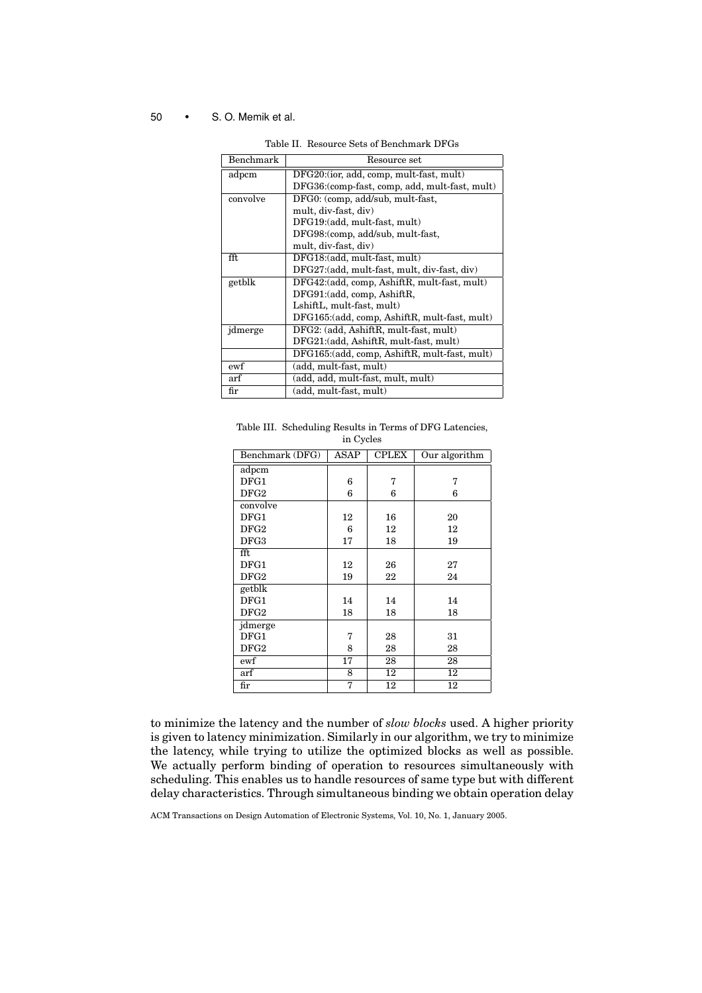Table II. Resource Sets of Benchmark DFGs

| Benchmark | Resource set                                  |
|-----------|-----------------------------------------------|
| adpcm     | DFG20:(ior, add, comp, mult-fast, mult)       |
|           | DFG36:(comp-fast, comp, add, mult-fast, mult) |
| convolve  | DFG0: (comp, add/sub, mult-fast,              |
|           | mult, div-fast, div)                          |
|           | DFG19:(add, mult-fast, mult)                  |
|           | DFG98:(comp, add/sub, mult-fast,              |
|           | mult, div-fast, div)                          |
| fft       | DFG18:(add, mult-fast, mult)                  |
|           | DFG27:(add, mult-fast, mult, div-fast, div)   |
| getblk    | DFG42:(add, comp, AshiftR, mult-fast, mult)   |
|           | DFG91:(add, comp, AshiftR,                    |
|           | LshiftL, mult-fast, mult)                     |
|           | DFG165: (add, comp, AshiftR, mult-fast, mult) |
| jdmerge   | DFG2: (add, AshiftR, mult-fast, mult)         |
|           | DFG21:(add, AshiftR, mult-fast, mult)         |
|           | DFG165: (add, comp, AshiftR, mult-fast, mult) |
| ewf       | (add, mult-fast, mult)                        |
| arf       | (add, add, mult-fast, mult, mult)             |
| fir       | (add, mult-fast, mult)                        |

Table III. Scheduling Results in Terms of DFG Latencies, in Cycles

| Benchmark (DFG)  | ASAP | <b>CPLEX</b> | Our algorithm |
|------------------|------|--------------|---------------|
| adpcm            |      |              |               |
| DFG1             | 6    | 7            | 7             |
| DFG <sub>2</sub> | 6    | 6            | 6             |
| convolve         |      |              |               |
| DFG1             | 12   | 16           | 20            |
| DFG <sub>2</sub> | 6    | 12           | 12            |
| DFG3             | 17   | 18           | 19            |
| fft              |      |              |               |
| DFG1             | 12   | 26           | 27            |
| DFG <sub>2</sub> | 19   | 22           | 24            |
| getblk           |      |              |               |
| DFG1             | 14   | 14           | 14            |
| DFG <sub>2</sub> | 18   | 18           | 18            |
| jdmerge          |      |              |               |
| DFG1             | 7    | 28           | 31            |
| DFG <sub>2</sub> | 8    | 28           | 28            |
| ewf              | 17   | 28           | 28            |
| arf              | 8    | 12           | 12            |
| fir              | 7    | 12           | 12            |

to minimize the latency and the number of *slow blocks* used. A higher priority is given to latency minimization. Similarly in our algorithm, we try to minimize the latency, while trying to utilize the optimized blocks as well as possible. We actually perform binding of operation to resources simultaneously with scheduling. This enables us to handle resources of same type but with different delay characteristics. Through simultaneous binding we obtain operation delay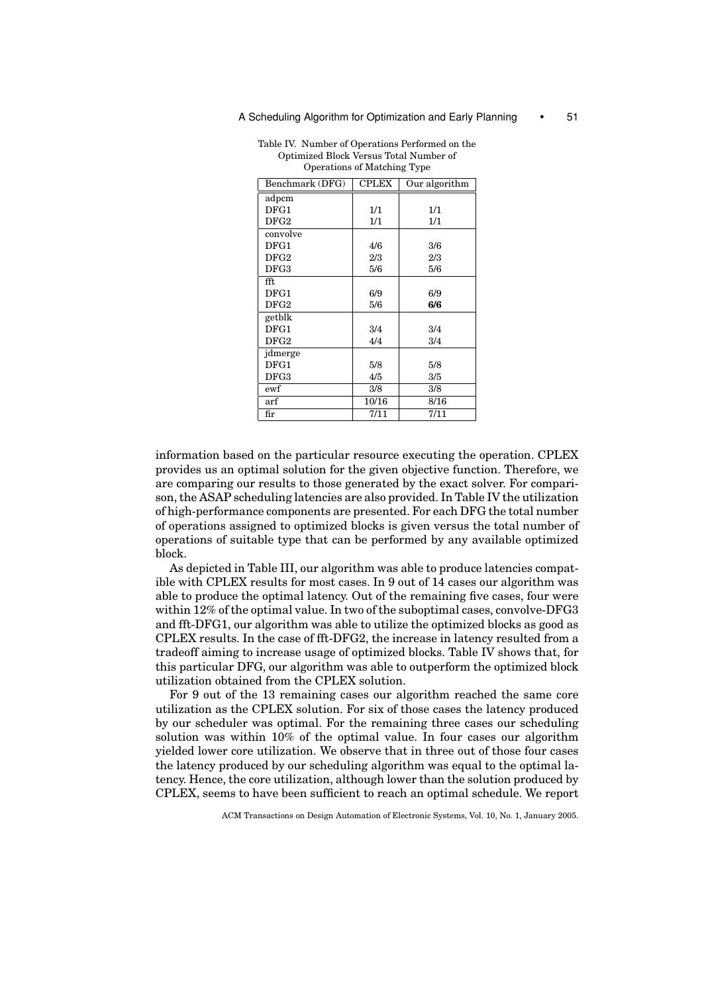A Scheduling Algorithm for Optimization and Early Planning • 51

| Benchmark (DFG)  | <b>CPLEX</b> | Our algorithm |
|------------------|--------------|---------------|
| adpcm            |              |               |
| DFG1             | 1/1          | 1/1           |
| DFG2             | 1/1          | 1/1           |
| convolve         |              |               |
| DFG1             | 4/6          | 3/6           |
| DFG2             | 2/3          | 2/3           |
| DFG3             | 5/6          | 5/6           |
| fft              |              |               |
| DFG1             | 6/9          | 6/9           |
| DFG <sub>2</sub> | 5/6          | 6/6           |
| getblk           |              |               |
| DFG1             | 3/4          | 3/4           |
| DFG2             | 4/4          | 3/4           |
| jdmerge          |              |               |
| DFG1             | 5/8          | 5/8           |
| DFG3             | 4/5          | 3/5           |
| ewf              | 3/8          | 3/8           |
| arf              | 10/16        | 8/16          |
| fir              | 7/11         | 7/11          |

Table IV. Number of Operations Performed on the Optimized Block Versus Total Number of Operations of Matching Type

information based on the particular resource executing the operation. CPLEX provides us an optimal solution for the given objective function. Therefore, we are comparing our results to those generated by the exact solver. For comparison, the ASAP scheduling latencies are also provided. In Table IV the utilization of high-performance components are presented. For each DFG the total number of operations assigned to optimized blocks is given versus the total number of operations of suitable type that can be performed by any available optimized block.

As depicted in Table III, our algorithm was able to produce latencies compatible with CPLEX results for most cases. In 9 out of 14 cases our algorithm was able to produce the optimal latency. Out of the remaining five cases, four were within 12% of the optimal value. In two of the suboptimal cases, convolve-DFG3 and fft-DFG1, our algorithm was able to utilize the optimized blocks as good as CPLEX results. In the case of fft-DFG2, the increase in latency resulted from a tradeoff aiming to increase usage of optimized blocks. Table IV shows that, for this particular DFG, our algorithm was able to outperform the optimized block utilization obtained from the CPLEX solution.

For 9 out of the 13 remaining cases our algorithm reached the same core utilization as the CPLEX solution. For six of those cases the latency produced by our scheduler was optimal. For the remaining three cases our scheduling solution was within 10% of the optimal value. In four cases our algorithm yielded lower core utilization. We observe that in three out of those four cases the latency produced by our scheduling algorithm was equal to the optimal latency. Hence, the core utilization, although lower than the solution produced by CPLEX, seems to have been sufficient to reach an optimal schedule. We report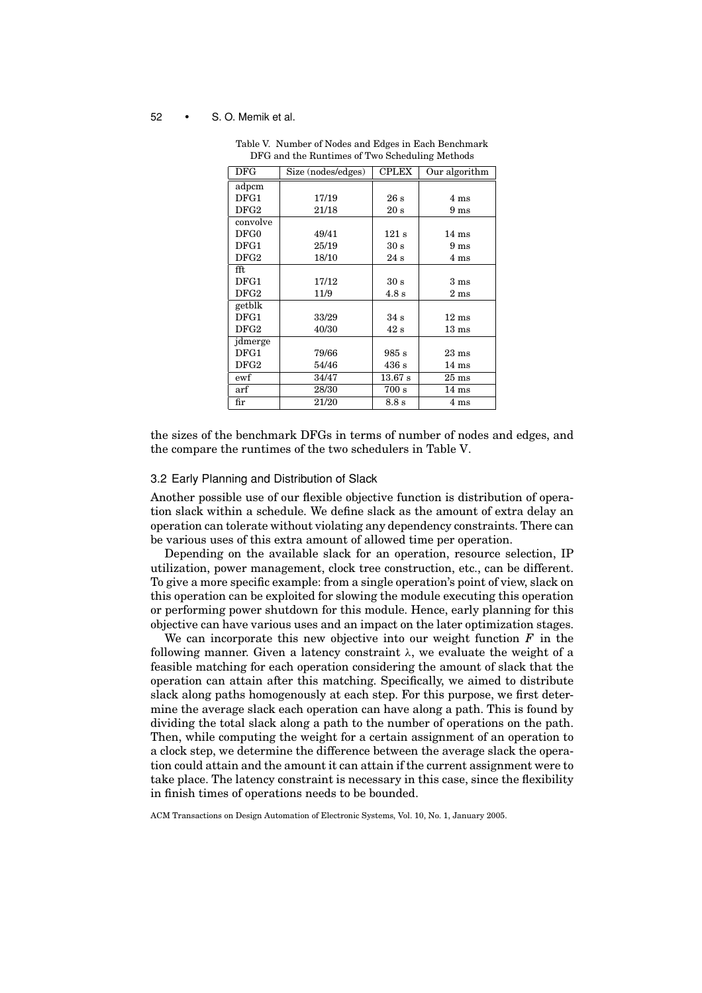| $_{\mathrm{DFG}}$  | Size (nodes/edges) | <b>CPLEX</b>     | Our algorithm     |
|--------------------|--------------------|------------------|-------------------|
| adpcm              |                    |                  |                   |
| DFG1               | 17/19              | 26 s             | 4 <sub>ms</sub>   |
| $_{\mathrm{DFG2}}$ | 21/18              | 20 s             | 9 <sub>ms</sub>   |
| convolve           |                    |                  |                   |
| DFG0               | 49/41              | $121~\mathrm{s}$ | $14 \text{ ms}$   |
| DFG1               | 25/19              | 30 s             | 9 <sub>ms</sub>   |
| $_{\mathrm{DFG2}}$ | 18/10              | 24 s             | $4 \text{ ms}$    |
| fft                |                    |                  |                   |
| DFG1               | 17/12              | 30 s             | 3 <sub>ms</sub>   |
| DFG2               | 11/9               | 4.8 s            | $2 \text{ ms}$    |
| getblk             |                    |                  |                   |
| DFG1               | 33/29              | 34 s             | $12 \text{ ms}$   |
| DFG2               | 40/30              | 42 s             | $13 \mathrm{~ms}$ |
| jdmerge            |                    |                  |                   |
| DFG1               | 79/66              | 985 s            | $23 \text{ ms}$   |
| $_{\mathrm{DFG2}}$ | 54/46              | 436 s            | $14 \text{ ms}$   |
| ewf                | 34/47              | 13.67 s          | $25 \text{ ms}$   |
| arf                | 28/30              | 700 s            | $14 \text{ ms}$   |
| fir                | 21/20              | 8.8 s            | $4 \text{ ms}$    |

Table V. Number of Nodes and Edges in Each Benchmark DFG and the Runtimes of Two Scheduling Methods

the sizes of the benchmark DFGs in terms of number of nodes and edges, and the compare the runtimes of the two schedulers in Table V.

## 3.2 Early Planning and Distribution of Slack

Another possible use of our flexible objective function is distribution of operation slack within a schedule. We define slack as the amount of extra delay an operation can tolerate without violating any dependency constraints. There can be various uses of this extra amount of allowed time per operation.

Depending on the available slack for an operation, resource selection, IP utilization, power management, clock tree construction, etc., can be different. To give a more specific example: from a single operation's point of view, slack on this operation can be exploited for slowing the module executing this operation or performing power shutdown for this module. Hence, early planning for this objective can have various uses and an impact on the later optimization stages.

We can incorporate this new objective into our weight function *F* in the following manner. Given a latency constraint  $\lambda$ , we evaluate the weight of a feasible matching for each operation considering the amount of slack that the operation can attain after this matching. Specifically, we aimed to distribute slack along paths homogenously at each step. For this purpose, we first determine the average slack each operation can have along a path. This is found by dividing the total slack along a path to the number of operations on the path. Then, while computing the weight for a certain assignment of an operation to a clock step, we determine the difference between the average slack the operation could attain and the amount it can attain if the current assignment were to take place. The latency constraint is necessary in this case, since the flexibility in finish times of operations needs to be bounded.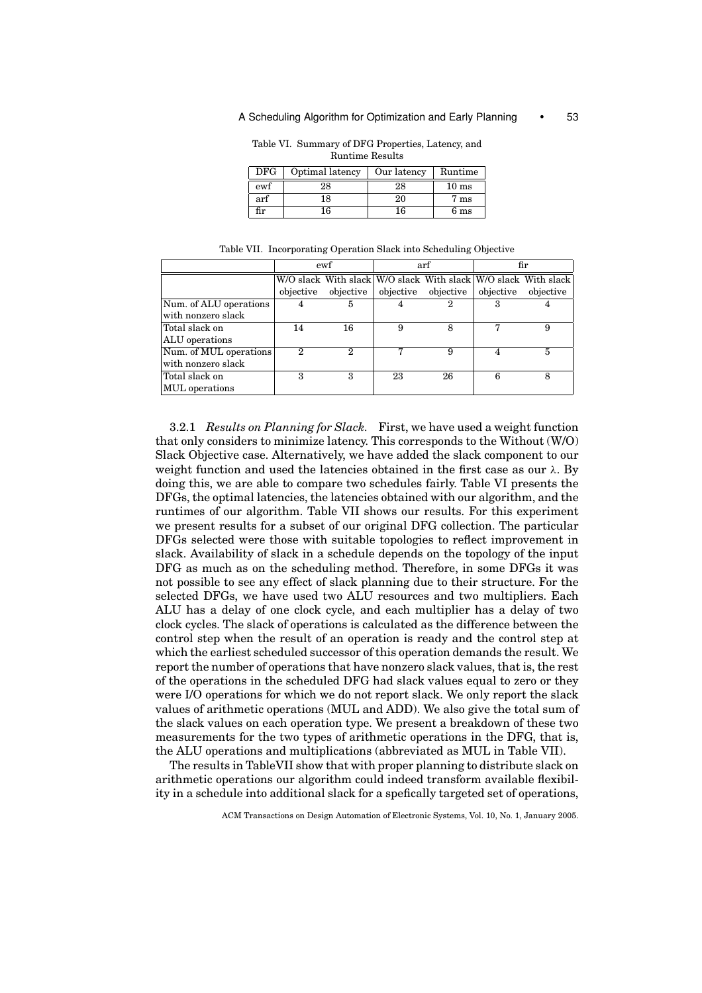A Scheduling Algorithm for Optimization and Early Planning • 53

Table VI. Summary of DFG Properties, Latency, and Runtime Results

| DFG | Optimal latency | Our latency | Runtime          |
|-----|-----------------|-------------|------------------|
| ewf | 28              | 28          | 10 <sub>ms</sub> |
| arf |                 |             | $7 \text{ ms}$   |
| fir |                 | 16          | 6 <sub>ms</sub>  |

|                        | ewf       |                                                                | arf |                                         | fir |           |
|------------------------|-----------|----------------------------------------------------------------|-----|-----------------------------------------|-----|-----------|
|                        |           | W/O slack With slack W/O slack With slack W/O slack With slack |     |                                         |     |           |
|                        | objective |                                                                |     | objective objective objective objective |     | objective |
| Num. of ALU operations |           | 5                                                              |     | 2                                       | З   |           |
| with nonzero slack     |           |                                                                |     |                                         |     |           |
| Total slack on         | 14        | 16                                                             | 9   | 8                                       |     | 9         |
| ALU operations         |           |                                                                |     |                                         |     |           |
| Num. of MUL operations |           | 2                                                              |     | 9                                       |     | 5         |
| with nonzero slack     |           |                                                                |     |                                         |     |           |
| Total slack on         | 3         | 3                                                              | 23  | 26                                      | 6   | 8         |
| <b>MUL</b> operations  |           |                                                                |     |                                         |     |           |

Table VII. Incorporating Operation Slack into Scheduling Objective

3.2.1 *Results on Planning for Slack.* First, we have used a weight function that only considers to minimize latency. This corresponds to the Without (W/O) Slack Objective case. Alternatively, we have added the slack component to our weight function and used the latencies obtained in the first case as our  $\lambda$ . By doing this, we are able to compare two schedules fairly. Table VI presents the DFGs, the optimal latencies, the latencies obtained with our algorithm, and the runtimes of our algorithm. Table VII shows our results. For this experiment we present results for a subset of our original DFG collection. The particular DFGs selected were those with suitable topologies to reflect improvement in slack. Availability of slack in a schedule depends on the topology of the input DFG as much as on the scheduling method. Therefore, in some DFGs it was not possible to see any effect of slack planning due to their structure. For the selected DFGs, we have used two ALU resources and two multipliers. Each ALU has a delay of one clock cycle, and each multiplier has a delay of two clock cycles. The slack of operations is calculated as the difference between the control step when the result of an operation is ready and the control step at which the earliest scheduled successor of this operation demands the result. We report the number of operations that have nonzero slack values, that is, the rest of the operations in the scheduled DFG had slack values equal to zero or they were I/O operations for which we do not report slack. We only report the slack values of arithmetic operations (MUL and ADD). We also give the total sum of the slack values on each operation type. We present a breakdown of these two measurements for the two types of arithmetic operations in the DFG, that is, the ALU operations and multiplications (abbreviated as MUL in Table VII).

The results in TableVII show that with proper planning to distribute slack on arithmetic operations our algorithm could indeed transform available flexibility in a schedule into additional slack for a spefically targeted set of operations,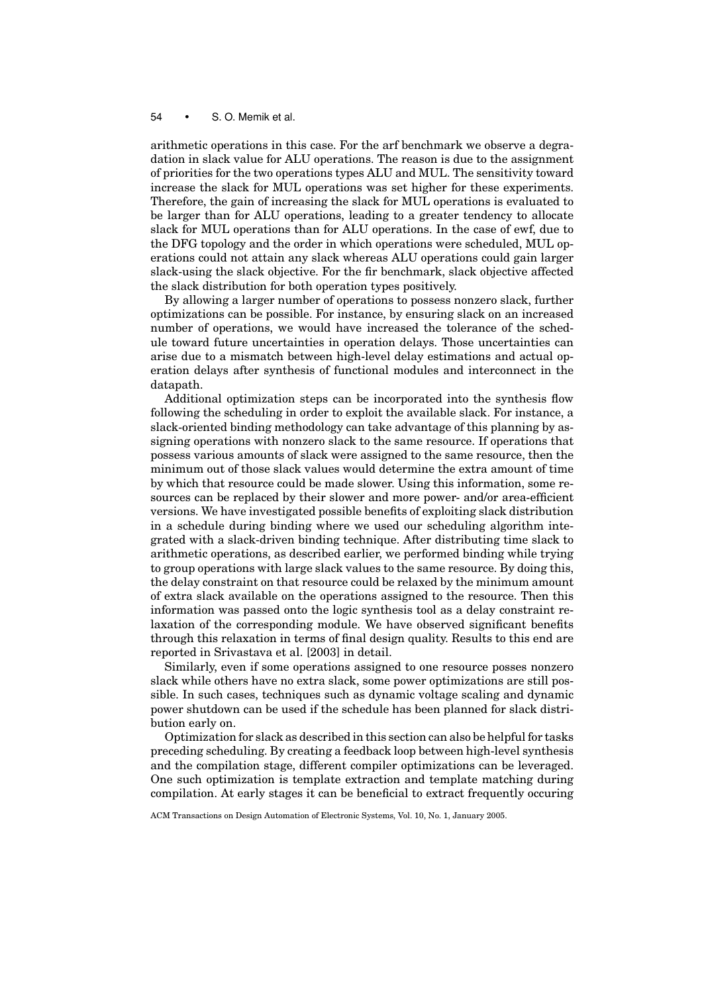arithmetic operations in this case. For the arf benchmark we observe a degradation in slack value for ALU operations. The reason is due to the assignment of priorities for the two operations types ALU and MUL. The sensitivity toward increase the slack for MUL operations was set higher for these experiments. Therefore, the gain of increasing the slack for MUL operations is evaluated to be larger than for ALU operations, leading to a greater tendency to allocate slack for MUL operations than for ALU operations. In the case of ewf, due to the DFG topology and the order in which operations were scheduled, MUL operations could not attain any slack whereas ALU operations could gain larger slack-using the slack objective. For the fir benchmark, slack objective affected the slack distribution for both operation types positively.

By allowing a larger number of operations to possess nonzero slack, further optimizations can be possible. For instance, by ensuring slack on an increased number of operations, we would have increased the tolerance of the schedule toward future uncertainties in operation delays. Those uncertainties can arise due to a mismatch between high-level delay estimations and actual operation delays after synthesis of functional modules and interconnect in the datapath.

Additional optimization steps can be incorporated into the synthesis flow following the scheduling in order to exploit the available slack. For instance, a slack-oriented binding methodology can take advantage of this planning by assigning operations with nonzero slack to the same resource. If operations that possess various amounts of slack were assigned to the same resource, then the minimum out of those slack values would determine the extra amount of time by which that resource could be made slower. Using this information, some resources can be replaced by their slower and more power- and/or area-efficient versions. We have investigated possible benefits of exploiting slack distribution in a schedule during binding where we used our scheduling algorithm integrated with a slack-driven binding technique. After distributing time slack to arithmetic operations, as described earlier, we performed binding while trying to group operations with large slack values to the same resource. By doing this, the delay constraint on that resource could be relaxed by the minimum amount of extra slack available on the operations assigned to the resource. Then this information was passed onto the logic synthesis tool as a delay constraint relaxation of the corresponding module. We have observed significant benefits through this relaxation in terms of final design quality. Results to this end are reported in Srivastava et al. [2003] in detail.

Similarly, even if some operations assigned to one resource posses nonzero slack while others have no extra slack, some power optimizations are still possible. In such cases, techniques such as dynamic voltage scaling and dynamic power shutdown can be used if the schedule has been planned for slack distribution early on.

Optimization for slack as described in this section can also be helpful for tasks preceding scheduling. By creating a feedback loop between high-level synthesis and the compilation stage, different compiler optimizations can be leveraged. One such optimization is template extraction and template matching during compilation. At early stages it can be beneficial to extract frequently occuring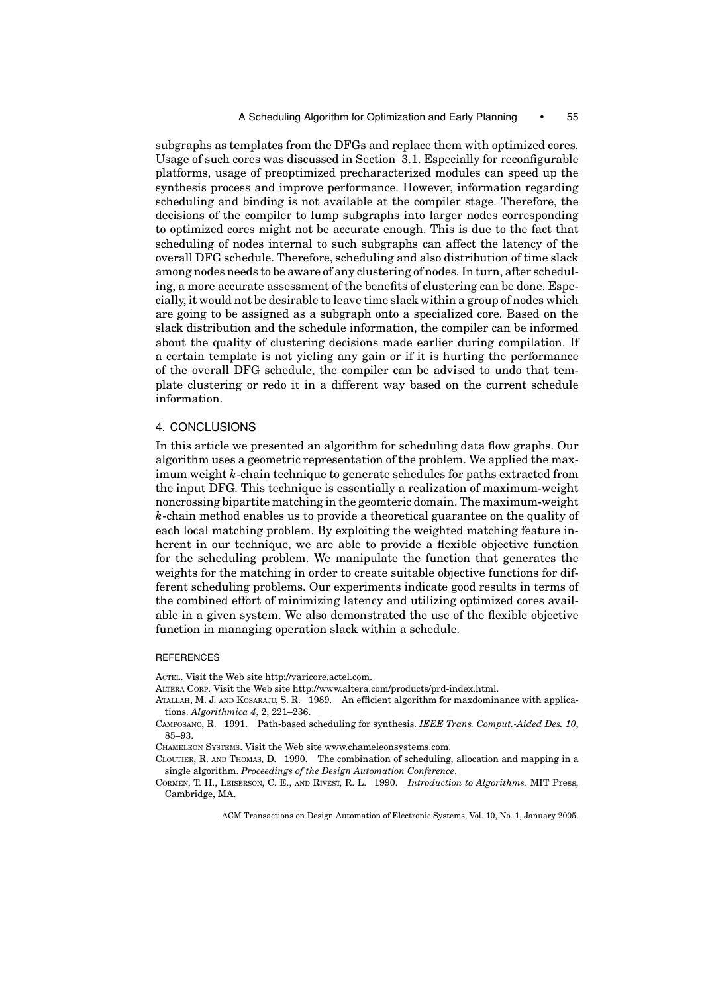subgraphs as templates from the DFGs and replace them with optimized cores. Usage of such cores was discussed in Section 3.1. Especially for reconfigurable platforms, usage of preoptimized precharacterized modules can speed up the synthesis process and improve performance. However, information regarding scheduling and binding is not available at the compiler stage. Therefore, the decisions of the compiler to lump subgraphs into larger nodes corresponding to optimized cores might not be accurate enough. This is due to the fact that scheduling of nodes internal to such subgraphs can affect the latency of the overall DFG schedule. Therefore, scheduling and also distribution of time slack among nodes needs to be aware of any clustering of nodes. In turn, after scheduling, a more accurate assessment of the benefits of clustering can be done. Especially, it would not be desirable to leave time slack within a group of nodes which are going to be assigned as a subgraph onto a specialized core. Based on the slack distribution and the schedule information, the compiler can be informed about the quality of clustering decisions made earlier during compilation. If a certain template is not yieling any gain or if it is hurting the performance of the overall DFG schedule, the compiler can be advised to undo that template clustering or redo it in a different way based on the current schedule information.

#### 4. CONCLUSIONS

In this article we presented an algorithm for scheduling data flow graphs. Our algorithm uses a geometric representation of the problem. We applied the maximum weight *k*-chain technique to generate schedules for paths extracted from the input DFG. This technique is essentially a realization of maximum-weight noncrossing bipartite matching in the geomteric domain. The maximum-weight *k*-chain method enables us to provide a theoretical guarantee on the quality of each local matching problem. By exploiting the weighted matching feature inherent in our technique, we are able to provide a flexible objective function for the scheduling problem. We manipulate the function that generates the weights for the matching in order to create suitable objective functions for different scheduling problems. Our experiments indicate good results in terms of the combined effort of minimizing latency and utilizing optimized cores available in a given system. We also demonstrated the use of the flexible objective function in managing operation slack within a schedule.

#### REFERENCES

ACTEL. Visit the Web site http://varicore.actel.com.

ALTERA CORP. Visit the Web site http://www.altera.com/products/prd-index.html.

- ATALLAH, M. J. AND KOSARAJU, S. R. 1989. An efficient algorithm for maxdominance with applications. *Algorithmica 4*, 2, 221–236.
- CAMPOSANO, R. 1991. Path-based scheduling for synthesis. *IEEE Trans. Comput.-Aided Des. 10*, 85–93.

CHAMELEON SYSTEMS. Visit the Web site www.chameleonsystems.com.

CLOUTIER, R. AND THOMAS, D. 1990. The combination of scheduling, allocation and mapping in a single algorithm. *Proceedings of the Design Automation Conference*.

CORMEN, T. H., LEISERSON, C. E., AND RIVEST, R. L. 1990. *Introduction to Algorithms*. MIT Press, Cambridge, MA.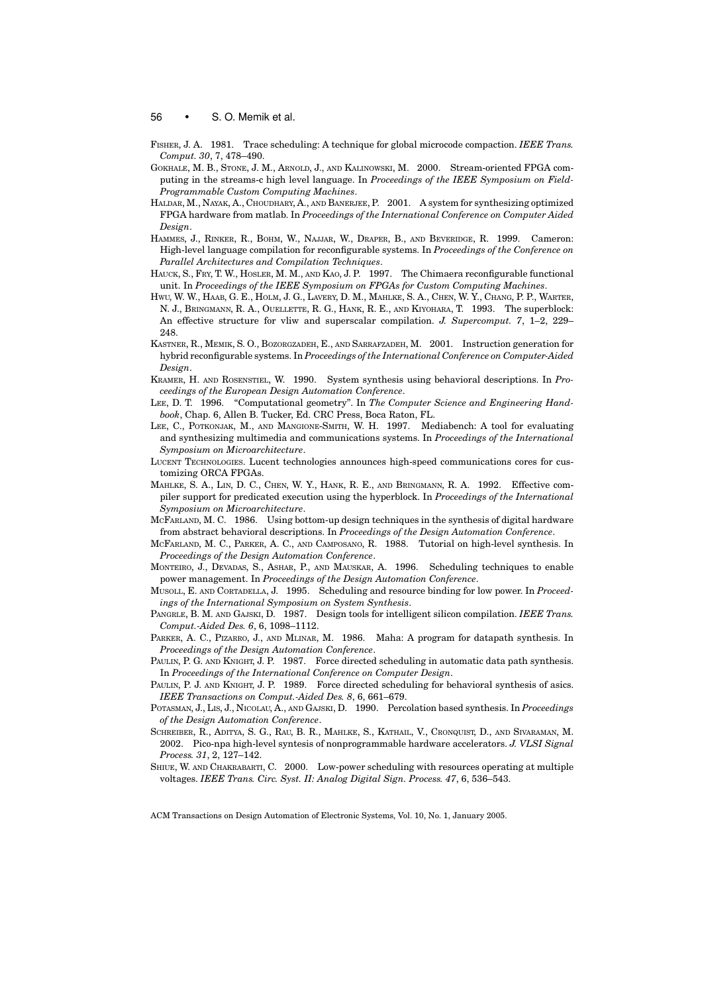- FISHER, J. A. 1981. Trace scheduling: A technique for global microcode compaction. *IEEE Trans. Comput. 30*, 7, 478–490.
- GOKHALE, M. B., STONE, J. M., ARNOLD, J., AND KALINOWSKI, M. 2000. Stream-oriented FPGA computing in the streams-c high level language. In *Proceedings of the IEEE Symposium on Field-Programmable Custom Computing Machines*.
- HALDAR, M., NAYAK, A., CHOUDHARY, A., AND BANERJEE, P. 2001. A system for synthesizing optimized FPGA hardware from matlab. In *Proceedings of the International Conference on Computer Aided Design*.
- HAMMES, J., RINKER, R., BOHM, W., NAJJAR, W., DRAPER, B., AND BEVERIDGE, R. 1999. Cameron: High-level language compilation for reconfigurable systems. In *Proceedings of the Conference on Parallel Architectures and Compilation Techniques*.
- HAUCK, S., FRY, T. W., HOSLER, M. M., AND KAO, J. P. 1997. The Chimaera reconfigurable functional unit. In *Proceedings of the IEEE Symposium on FPGAs for Custom Computing Machines*.
- HWU, W. W., HAAB, G. E., HOLM, J. G., LAVERY, D. M., MAHLKE, S. A., CHEN, W. Y., CHANG, P. P., WARTER, N. J., BRINGMANN, R. A., OUELLETTE, R. G., HANK, R. E., AND KIYOHARA, T. 1993. The superblock: An effective structure for vliw and superscalar compilation. *J. Supercomput. 7*, 1–2, 229– 248.
- KASTNER, R., MEMIK, S. O., BOZORGZADEH, E., AND SARRAFZADEH, M. 2001. Instruction generation for hybrid reconfigurable systems. In *Proceedings of the International Conference on Computer-Aided Design*.
- KRAMER, H. AND ROSENSTIEL, W. 1990. System synthesis using behavioral descriptions. In *Proceedings of the European Design Automation Conference*.
- LEE, D. T. 1996. "Computational geometry". In *The Computer Science and Engineering Handbook*, Chap. 6, Allen B. Tucker, Ed. CRC Press, Boca Raton, FL.
- LEE, C., POTKONJAK, M., AND MANGIONE-SMITH, W. H. 1997. Mediabench: A tool for evaluating and synthesizing multimedia and communications systems. In *Proceedings of the International Symposium on Microarchitecture*.
- LUCENT TECHNOLOGIES. Lucent technologies announces high-speed communications cores for customizing ORCA FPGAs.
- MAHLKE, S. A., LIN, D. C., CHEN, W. Y., HANK, R. E., AND BRINGMANN, R. A. 1992. Effective compiler support for predicated execution using the hyperblock. In *Proceedings of the International Symposium on Microarchitecture*.
- MCFARLAND, M. C. 1986. Using bottom-up design techniques in the synthesis of digital hardware from abstract behavioral descriptions. In *Proceedings of the Design Automation Conference*.
- MCFARLAND, M. C., PARKER, A. C., AND CAMPOSANO, R. 1988. Tutorial on high-level synthesis. In *Proceedings of the Design Automation Conference*.
- MONTEIRO, J., DEVADAS, S., ASHAR, P., AND MAUSKAR, A. 1996. Scheduling techniques to enable power management. In *Proceedings of the Design Automation Conference*.
- MUSOLL, E. AND CORTADELLA, J. 1995. Scheduling and resource binding for low power. In *Proceedings of the International Symposium on System Synthesis*.
- PANGRLE, B. M. AND GAJSKI, D. 1987. Design tools for intelligent silicon compilation. *IEEE Trans. Comput.-Aided Des. 6*, 6, 1098–1112.
- PARKER, A. C., PIZARRO, J., AND MLINAR, M. 1986. Maha: A program for datapath synthesis. In *Proceedings of the Design Automation Conference*.
- PAULIN, P. G. AND KNIGHT, J. P. 1987. Force directed scheduling in automatic data path synthesis. In *Proceedings of the International Conference on Computer Design*.
- PAULIN, P. J. AND KNIGHT, J. P. 1989. Force directed scheduling for behavioral synthesis of asics. *IEEE Transactions on Comput.-Aided Des. 8*, 6, 661–679.
- POTASMAN, J., LIS, J., NICOLAU, A., AND GAJSKI, D. 1990. Percolation based synthesis. In *Proceedings of the Design Automation Conference*.
- SCHREIBER, R., ADITYA, S. G., RAU, B. R., MAHLKE, S., KATHAIL, V., CRONQUIST, D., AND SIVARAMAN, M. 2002. Pico-npa high-level syntesis of nonprogrammable hardware accelerators. *J. VLSI Signal Process. 31*, 2, 127–142.
- SHIUE, W. AND CHAKRABARTI, C. 2000. Low-power scheduling with resources operating at multiple voltages. *IEEE Trans. Circ. Syst. II: Analog Digital Sign. Process. 47*, 6, 536–543.